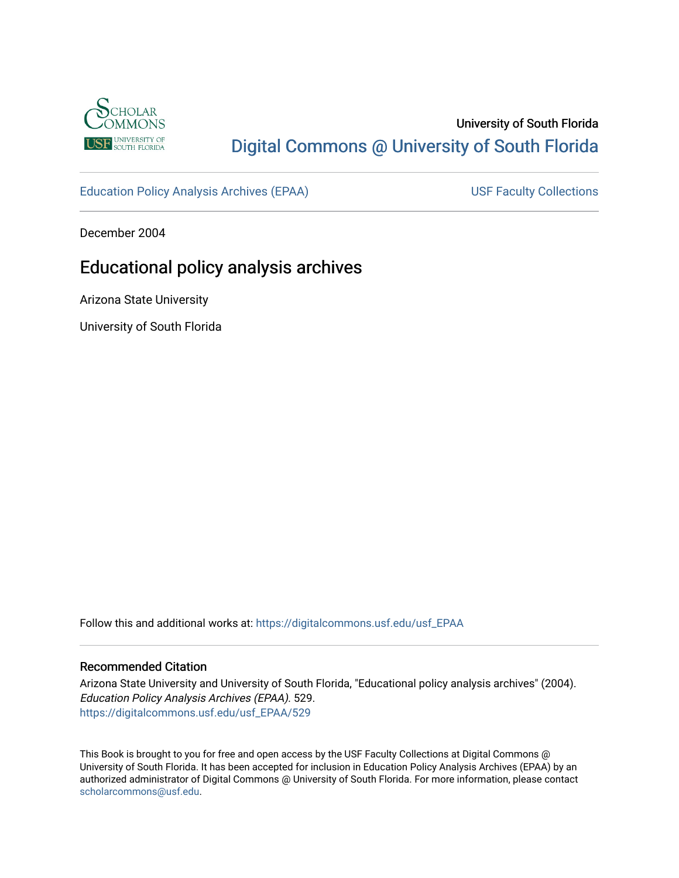

## University of South Florida [Digital Commons @ University of South Florida](https://digitalcommons.usf.edu/)

[Education Policy Analysis Archives \(EPAA\)](https://digitalcommons.usf.edu/usf_EPAA) USF Faculty Collections

December 2004

## Educational policy analysis archives

Arizona State University

University of South Florida

Follow this and additional works at: [https://digitalcommons.usf.edu/usf\\_EPAA](https://digitalcommons.usf.edu/usf_EPAA?utm_source=digitalcommons.usf.edu%2Fusf_EPAA%2F529&utm_medium=PDF&utm_campaign=PDFCoverPages)

#### Recommended Citation

Arizona State University and University of South Florida, "Educational policy analysis archives" (2004). Education Policy Analysis Archives (EPAA). 529. [https://digitalcommons.usf.edu/usf\\_EPAA/529](https://digitalcommons.usf.edu/usf_EPAA/529?utm_source=digitalcommons.usf.edu%2Fusf_EPAA%2F529&utm_medium=PDF&utm_campaign=PDFCoverPages)

This Book is brought to you for free and open access by the USF Faculty Collections at Digital Commons @ University of South Florida. It has been accepted for inclusion in Education Policy Analysis Archives (EPAA) by an authorized administrator of Digital Commons @ University of South Florida. For more information, please contact [scholarcommons@usf.edu.](mailto:scholarcommons@usf.edu)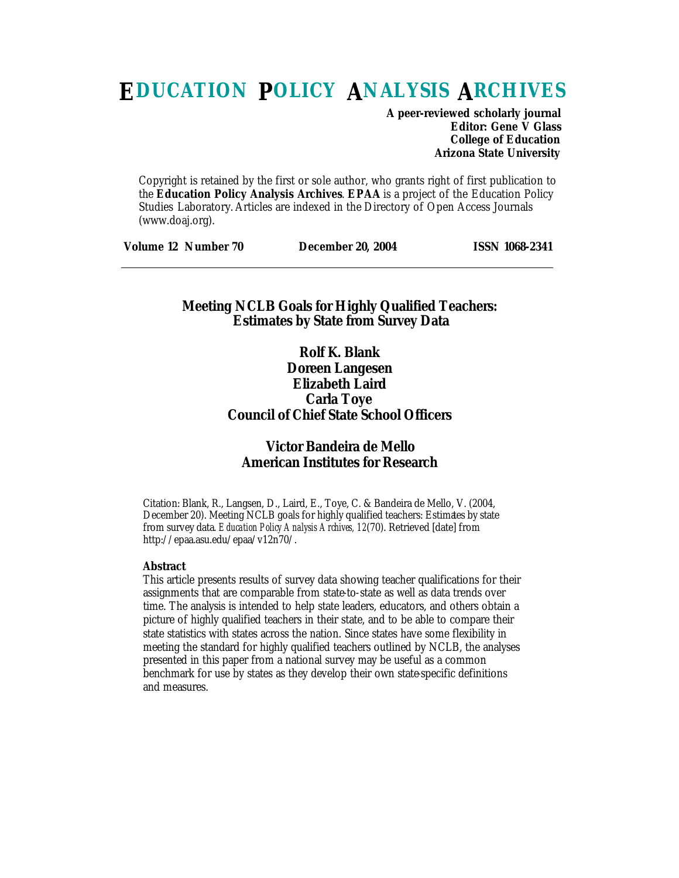# **EDUCATION POLICY ANALYSIS ARCHIVES**

**A peer-reviewed scholarly journal Editor: Gene V Glass College of Education Arizona State University**

Copyright is retained by the first or sole author, who grants right of first publication to the **Education Policy Analysis Archives**. **EPAA** is a project of the Education Policy Studies Laboratory. Articles are indexed in the Directory of Open Access Journals (www.doaj.org).

| <b>Volume 12 Number 70</b><br><b>ISSN 1068-2341</b><br><b>December 20, 2004</b> |
|---------------------------------------------------------------------------------|
|---------------------------------------------------------------------------------|

## **Meeting NCLB Goals for Highly Qualified Teachers: Estimates by State from Survey Data**

**Rolf K. Blank Doreen Langesen Elizabeth Laird Carla Toye Council of Chief State School Officers**

## **Victor Bandeira de Mello American Institutes for Research**

Citation: Blank, R., Langsen, D., Laird, E., Toye, C. & Bandeira de Mello, V. (2004, December 20). Meeting NCLB goals for highly qualified teachers: Estimates by state from survey data. *Education Policy Analysis Archives, 12*(70). Retrieved [date] from http://epaa.asu.edu/epaa/v12n70/.

#### **Abstract**

This article presents results of survey data showing teacher qualifications for their assignments that are comparable from state-to-state as well as data trends over time. The analysis is intended to help state leaders, educators, and others obtain a picture of highly qualified teachers in their state, and to be able to compare their state statistics with states across the nation. Since states have some flexibility in meeting the standard for highly qualified teachers outlined by NCLB, the analyses presented in this paper from a national survey may be useful as a common benchmark for use by states as they develop their own state-specific definitions and measures.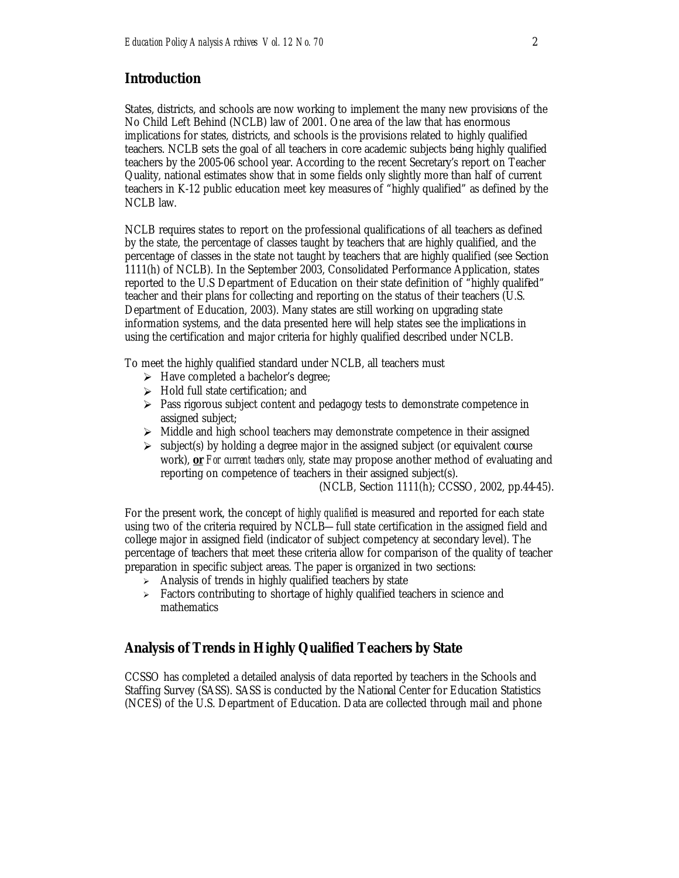## **Introduction**

States, districts, and schools are now working to implement the many new provisions of the No Child Left Behind (NCLB) law of 2001. One area of the law that has enormous implications for states, districts, and schools is the provisions related to highly qualified teachers. NCLB sets the goal of all teachers in core academic subjects being highly qualified teachers by the 2005-06 school year. According to the recent Secretary's report on Teacher Quality, national estimates show that in some fields only slightly more than half of current teachers in K-12 public education meet key measures of "highly qualified" as defined by the NCLB law.

NCLB requires states to report on the professional qualifications of all teachers as defined by the state, the percentage of classes taught by teachers that are highly qualified, and the percentage of classes in the state not taught by teachers that are highly qualified (see Section 1111(h) of NCLB). In the September 2003, Consolidated Performance Application, states reported to the U.S Department of Education on their state definition of "highly qualified" teacher and their plans for collecting and reporting on the status of their teachers (U.S. Department of Education, 2003). Many states are still working on upgrading state information systems, and the data presented here will help states see the implications in using the certification and major criteria for highly qualified described under NCLB.

To meet the highly qualified standard under NCLB, all teachers must

- $\triangleright$  Have completed a bachelor's degree;
- $\triangleright$  Hold full state certification; and
- $\triangleright$  Pass rigorous subject content and pedagogy tests to demonstrate competence in assigned subject;
- $\triangleright$  Middle and high school teachers may demonstrate competence in their assigned
- $\triangleright$  subject(s) by holding a degree major in the assigned subject (or equivalent course work), **or** *For current teachers only*, state may propose another method of evaluating and reporting on competence of teachers in their assigned subject(s).

(NCLB, Section 1111(h); CCSSO, 2002, pp.44-45).

For the present work, the concept of *highly qualified* is measured and reported for each state using two of the criteria required by NCLB—full state certification in the assigned field and college major in assigned field (indicator of subject competency at secondary level). The percentage of teachers that meet these criteria allow for comparison of the quality of teacher preparation in specific subject areas. The paper is organized in two sections:

- $\geq$  Analysis of trends in highly qualified teachers by state
- $\geq$  Factors contributing to shortage of highly qualified teachers in science and mathematics

## **Analysis of Trends in Highly Qualified Teachers by State**

CCSSO has completed a detailed analysis of data reported by teachers in the Schools and Staffing Survey (SASS). SASS is conducted by the National Center for Education Statistics (NCES) of the U.S. Department of Education. Data are collected through mail and phone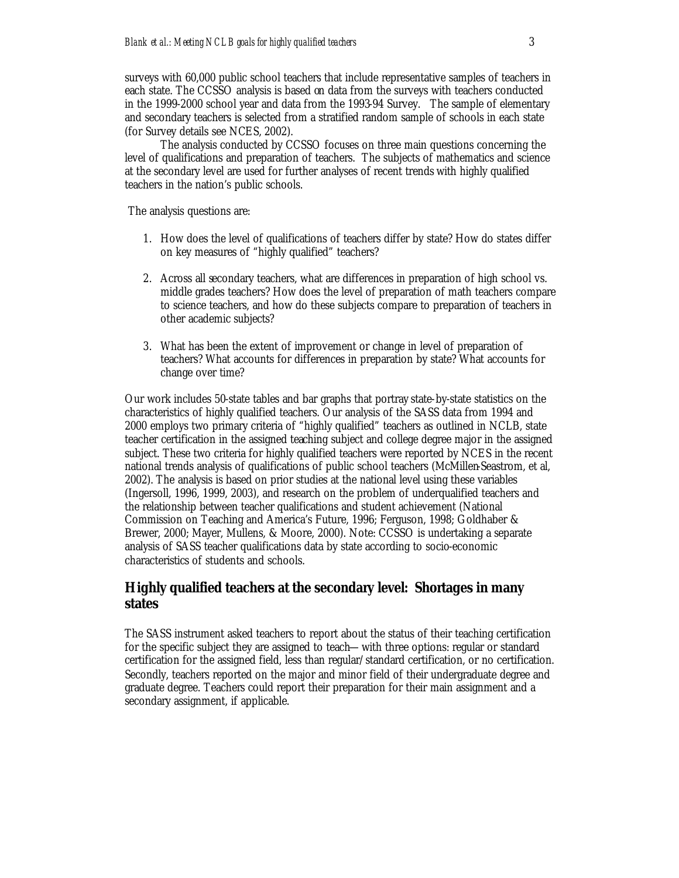surveys with 60,000 public school teachers that include representative samples of teachers in each state. The CCSSO analysis is based on data from the surveys with teachers conducted in the 1999-2000 school year and data from the 1993-94 Survey. The sample of elementary and secondary teachers is selected from a stratified random sample of schools in each state (for Survey details see NCES, 2002).

The analysis conducted by CCSSO focuses on three main questions concerning the level of qualifications and preparation of teachers. The subjects of mathematics and science at the secondary level are used for further analyses of recent trends with highly qualified teachers in the nation's public schools.

The analysis questions are:

- 1. How does the level of qualifications of teachers differ by state? How do states differ on key measures of "highly qualified" teachers?
- 2. Across all secondary teachers, what are differences in preparation of high school vs. middle grades teachers? How does the level of preparation of math teachers compare to science teachers, and how do these subjects compare to preparation of teachers in other academic subjects?
- 3. What has been the extent of improvement or change in level of preparation of teachers? What accounts for differences in preparation by state? What accounts for change over time?

Our work includes 50-state tables and bar graphs that portray state-by-state statistics on the characteristics of highly qualified teachers. Our analysis of the SASS data from 1994 and 2000 employs two primary criteria of "highly qualified" teachers as outlined in NCLB, state teacher certification in the assigned teaching subject and college degree major in the assigned subject. These two criteria for highly qualified teachers were reported by NCES in the recent national trends analysis of qualifications of public school teachers (McMillen-Seastrom, et al, 2002). The analysis is based on prior studies at the national level using these variables (Ingersoll, 1996, 1999, 2003), and research on the problem of underqualified teachers and the relationship between teacher qualifications and student achievement (National Commission on Teaching and America's Future, 1996; Ferguson, 1998; Goldhaber & Brewer, 2000; Mayer, Mullens, & Moore, 2000). Note: CCSSO is undertaking a separate analysis of SASS teacher qualifications data by state according to socio-economic characteristics of students and schools.

### **Highly qualified teachers at the secondary level: Shortages in many states**

The SASS instrument asked teachers to report about the status of their teaching certification for the specific subject they are assigned to teach—with three options: regular or standard certification for the assigned field, less than regular/standard certification, or no certification. Secondly, teachers reported on the major and minor field of their undergraduate degree and graduate degree. Teachers could report their preparation for their main assignment and a secondary assignment, if applicable.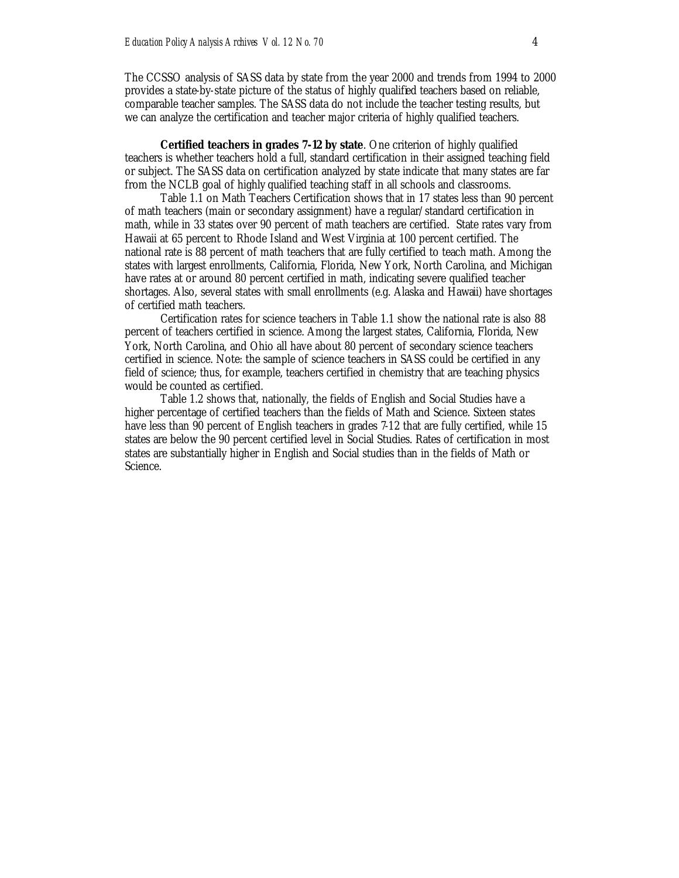The CCSSO analysis of SASS data by state from the year 2000 and trends from 1994 to 2000 provides a state-by-state picture of the status of highly qualified teachers based on reliable, comparable teacher samples. The SASS data do not include the teacher testing results, but we can analyze the certification and teacher major criteria of highly qualified teachers.

**Certified teachers in grades 7-12 by state**. One criterion of highly qualified teachers is whether teachers hold a full, standard certification in their assigned teaching field or subject. The SASS data on certification analyzed by state indicate that many states are far from the NCLB goal of highly qualified teaching staff in all schools and classrooms.

Table 1.1 on Math Teachers Certification shows that in 17 states less than 90 percent of math teachers (main or secondary assignment) have a regular/standard certification in math, while in 33 states over 90 percent of math teachers are certified. State rates vary from Hawaii at 65 percent to Rhode Island and West Virginia at 100 percent certified. The national rate is 88 percent of math teachers that are fully certified to teach math. Among the states with largest enrollments, California, Florida, New York, North Carolina, and Michigan have rates at or around 80 percent certified in math, indicating severe qualified teacher shortages. Also, several states with small enrollments (e.g. Alaska and Hawaii) have shortages of certified math teachers.

Certification rates for science teachers in Table 1.1 show the national rate is also 88 percent of teachers certified in science. Among the largest states, California, Florida, New York, North Carolina, and Ohio all have about 80 percent of secondary science teachers certified in science. Note: the sample of science teachers in SASS could be certified in any field of science; thus, for example, teachers certified in chemistry that are teaching physics would be counted as certified.

Table 1.2 shows that, nationally, the fields of English and Social Studies have a higher percentage of certified teachers than the fields of Math and Science. Sixteen states have less than 90 percent of English teachers in grades 7-12 that are fully certified, while 15 states are below the 90 percent certified level in Social Studies. Rates of certification in most states are substantially higher in English and Social studies than in the fields of Math or Science.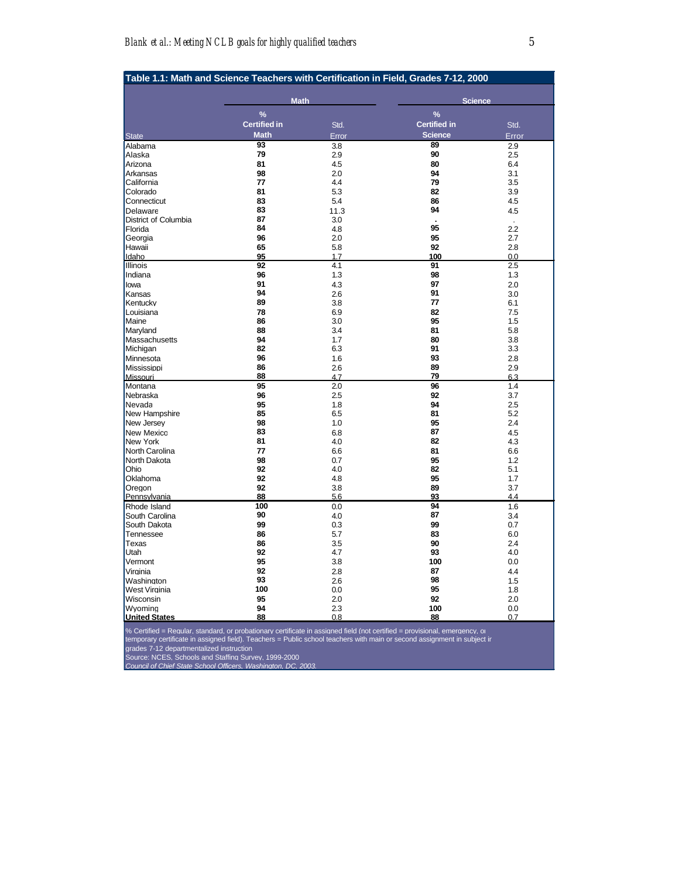| Table 1.1: Math and Science Teachers with Certification in Field, Grades 7-12, 2000 |                     |       |                     |       |
|-------------------------------------------------------------------------------------|---------------------|-------|---------------------|-------|
|                                                                                     | <b>Math</b>         |       | <b>Science</b>      |       |
|                                                                                     | $\frac{9}{6}$       |       | $\frac{9}{6}$       |       |
|                                                                                     | <b>Certified in</b> | Std.  | <b>Certified in</b> | Std.  |
| <b>State</b>                                                                        | <b>Math</b>         | Error | <b>Science</b>      | Error |
| Alabama                                                                             | 93                  | 3.8   | 89                  | 2.9   |
| Alaska                                                                              | 79                  | 2.9   | 90                  | 2.5   |
| Arizona                                                                             | 81                  | 4.5   | 80                  | 6.4   |
| Arkansas                                                                            | 98                  | 2.0   | 94                  | 3.1   |
| California                                                                          | 77                  | 4.4   | 79                  | 3.5   |
| Colorado                                                                            | 81                  | 5.3   | 82                  | 3.9   |
| Connecticut                                                                         | 83                  | 5.4   | 86                  | 4.5   |
| Delaware                                                                            | 83                  | 11.3  | 94                  | 4.5   |
| District of Columbia                                                                | 87                  | 3.0   |                     |       |
| Florida                                                                             | 84                  | 4.8   | 95                  | 2.2   |
| Georgia                                                                             | 96                  | 2.0   | 95                  | 2.7   |
| Hawaii                                                                              | 65                  | 5.8   | 92                  | 2.8   |
| Idaho                                                                               | 95                  | 1.7   | 100                 | 0.0   |
| <b>Illinois</b>                                                                     | 92                  | 4.1   | 91                  | 2.5   |
| Indiana                                                                             | 96                  | 1.3   | 98                  | 1.3   |
| lowa                                                                                | 91                  | 4.3   | 97                  | 2.0   |
| Kansas                                                                              | 94                  | 2.6   | 91                  | 3.0   |
| Kentuckv                                                                            | 89                  | 3.8   | 77                  | 6.1   |
| Louisiana                                                                           | 78                  | 6.9   | 82                  | 7.5   |
| Maine                                                                               | 86                  | 3.0   | 95                  | 1.5   |
| Maryland                                                                            | 88                  | 3.4   | 81                  | 5.8   |
| Massachusetts                                                                       | 94                  | 1.7   | 80                  | 3.8   |
| Michigan                                                                            | 82                  | 6.3   | 91                  | 3.3   |
| Minnesota                                                                           | 96                  | 1.6   | 93                  | 2.8   |
| Mississippi                                                                         | 86                  | 2.6   | 89                  | 2.9   |
| Missouri                                                                            | 88                  | 4.7   | 79                  | 6.3   |
| Montana                                                                             | 95                  | 2.0   | 96                  | 1.4   |
| Nebraska                                                                            | 96                  | 2.5   | 92                  | 3.7   |
| Nevada                                                                              | 95                  | 1.8   | 94                  | 2.5   |
| New Hampshire                                                                       | 85                  | 6.5   | 81                  | 5.2   |
| New Jersey                                                                          | 98                  | 1.0   | 95                  | 2.4   |
| New Mexicc                                                                          | 83                  | 6.8   | 87                  | 4.5   |
| New York                                                                            | 81                  | 4.0   | 82                  | 4.3   |
| North Carolina                                                                      | 77                  | 6.6   | 81                  | 6.6   |
| North Dakota                                                                        | 98                  | 0.7   | 95                  | 1.2   |
| Ohio                                                                                | 92                  | 4.0   | 82                  | 5.1   |
| Oklahoma                                                                            | 92                  | 4.8   | 95                  | 1.7   |
| Oregon                                                                              | 92                  | 3.8   | 89                  | 3.7   |
| Pennsylvania                                                                        | 88                  | 5.6   | 93                  | 4.4   |
| Rhode Island                                                                        | 100                 | 0.0   | 94                  | 1.6   |
| South Carolina                                                                      | 90                  | 4.0   | 87                  | 3.4   |
| South Dakota                                                                        | 99                  | 0.3   | 99                  | 0.7   |
| Tennessee                                                                           | 86                  | 5.7   | 83                  | 6.0   |
| Texas                                                                               | 86                  | 3.5   | 90                  | 2.4   |
| Utah                                                                                | 92                  | 4.7   | 93                  | 4.0   |
| Vermont                                                                             | 95                  | 3.8   | 100                 | 0.0   |
| Virginia                                                                            | 92                  | 2.8   | 87                  | 4.4   |
| Washington                                                                          | 93                  | 2.6   | 98                  | 1.5   |
| West Virginia                                                                       | 100                 | 0.0   | 95                  | 1.8   |
| Wisconsin                                                                           | 95                  | 2.0   | 92                  | 2.0   |
| Wyoming                                                                             | 94                  | 2.3   | 100                 | 0.0   |
| <b>United States</b>                                                                | 88                  | 0.8   | 88                  | 0.7   |

% Certified = Reaular. standard. or probationarv certificate in assianed field (not certified = provisional. emeraencv. o<br>temporary certificate in assigned field). Teachers = Public school teachers with main or second assi

grades 7-12 departmentalized instruction.

Source: NCES, Schools and Staffing Survey, 1999-2000. *Council of Chief State School Officers, Washington, DC, 2003.*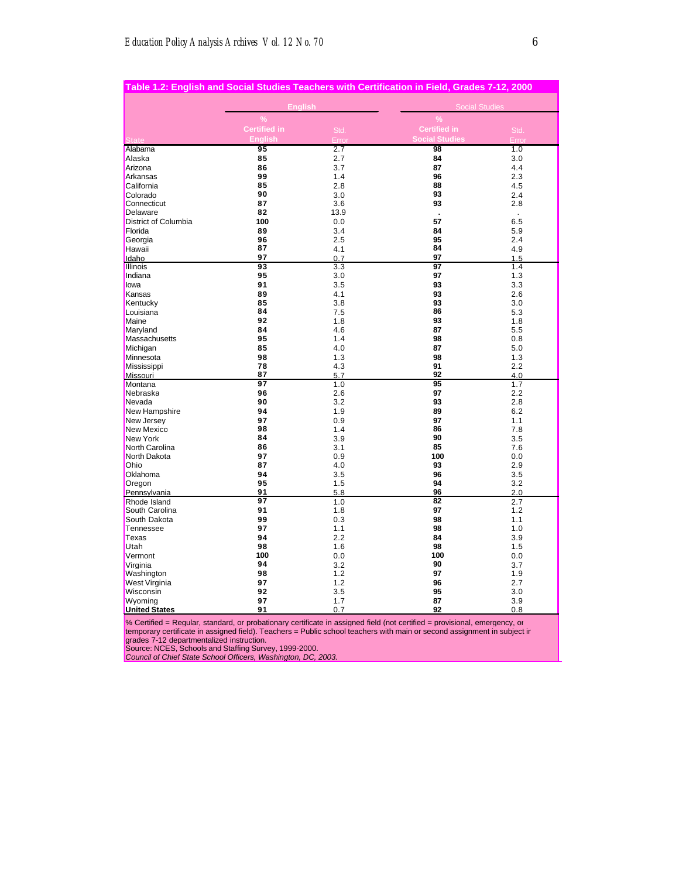|                      |                     |            | Table 1.2: English and Social Studies Teachers with Certification in Field, Grades 7-12, 2000 |            |
|----------------------|---------------------|------------|-----------------------------------------------------------------------------------------------|------------|
|                      | <b>English</b>      |            | <b>Social Studies</b>                                                                         |            |
|                      | $\frac{9}{6}$       |            | $\frac{9}{6}$                                                                                 |            |
|                      | <b>Certified in</b> | Std.       | <b>Certified in</b>                                                                           | Std.       |
|                      | Enalish             | Erro       | <b>Social Studies</b>                                                                         | Erro       |
| Alabama              | 95                  | 2.7        | 98                                                                                            | 1.0        |
| Alaska               | 85                  | 2.7        | 84                                                                                            | 3.0        |
| Arizona              | 86                  | 3.7        | 87                                                                                            | 4.4        |
| Arkansas             | 99                  | 1.4        | 96                                                                                            | 2.3        |
| California           | 85                  | 2.8        | 88                                                                                            | 4.5        |
| Colorado             | 90                  | 3.0        | 93                                                                                            | 2.4        |
| Connecticut          | 87                  | 3.6        | 93                                                                                            | 2.8        |
| Delaware             | 82                  | 13.9       |                                                                                               | ¥.         |
| District of Columbia | 100                 | 0.0        | 57                                                                                            | 6.5        |
| Florida              | 89                  | 3.4        | 84                                                                                            | 5.9        |
| Georgia              | 96                  | 2.5        | 95                                                                                            | 2.4        |
| Hawaii               | 87                  | 4.1        | 84                                                                                            | 4.9        |
| Idaho                | 97                  | 0.7        | 97                                                                                            | 1.5        |
| <b>Illinois</b>      | 93                  | 3.3        | 97                                                                                            | 1.4        |
| Indiana              | 95                  | 3.0        | 97                                                                                            | 1.3        |
| lowa                 | 91                  | 3.5        | 93                                                                                            | 3.3        |
| Kansas               | 89                  | 4.1        | 93                                                                                            | 2.6        |
| Kentucky             | 85                  | 3.8        | 93                                                                                            | 3.0        |
| Louisiana            | 84                  | 7.5        | 86                                                                                            | 5.3        |
| Maine                | 92                  | 1.8        | 93                                                                                            | 1.8        |
| Maryland             | 84                  | 4.6        | 87                                                                                            | 5.5        |
| Massachusetts        | 95                  | 1.4        | 98                                                                                            | 0.8        |
| Michigan             | 85                  | 4.0        | 87                                                                                            | 5.0        |
| Minnesota            | 98                  | 1.3        | 98                                                                                            | 1.3        |
| Mississippi          | 78                  | 4.3        | 91                                                                                            | 2.2        |
| Missouri             | 87                  | 5.7        | 92                                                                                            | 4.0        |
| Montana              | 97                  | 1.0        | 95                                                                                            | 1.7        |
| Nebraska             | 96                  | 2.6        | 97                                                                                            | 2.2        |
| Nevada               | 90                  | 3.2        | 93                                                                                            | 2.8        |
| New Hampshire        | 94                  | 1.9        | 89                                                                                            | 6.2        |
| New Jersev           | 97                  | 0.9        | 97                                                                                            | 1.1        |
| New Mexico           | 98                  | 1.4        | 86                                                                                            | 7.8        |
| New York             | 84                  | 3.9        | 90                                                                                            | 3.5        |
| North Carolina       | 86                  | 3.1        | 85                                                                                            | 7.6        |
| North Dakota         | 97                  | 0.9        | 100                                                                                           | 0.0        |
| Ohio                 | 87                  | 4.0        | 93                                                                                            | 2.9        |
| Oklahoma             | 94                  | 3.5        | 96                                                                                            | 3.5        |
| Oregon               | 95                  | 1.5        | 94                                                                                            | 3.2        |
| Pennsylvania         | 91<br>97            | 5.8        | 96<br>82                                                                                      | 2.0        |
| Rhode Island         |                     | 1.0        |                                                                                               | 2.7        |
| South Carolina       | 91<br>99            | 1.8        | 97<br>98                                                                                      | 1.2        |
| South Dakota         |                     | 0.3        |                                                                                               | 1.1        |
| Tennessee            | 97                  | 1.1        | 98                                                                                            | 1.0        |
| Texas                | 94                  | 2.2        | 84                                                                                            | 3.9        |
| Utah                 | 98<br>100           | 1.6        | 98<br>100                                                                                     | 1.5        |
| Vermont              | 94                  | 0.0        | 90                                                                                            | 0.0        |
| Virginia             | 98                  | 3.2<br>1.2 | 97                                                                                            | 3.7<br>1.9 |
| Washington           | 97                  | 1.2        | 96                                                                                            | 2.7        |
| West Virginia        | 92                  |            | 95                                                                                            |            |
| Wisconsin<br>Wyomina | 97                  | 3.5<br>1.7 | 87                                                                                            | 3.0<br>3.9 |
|                      |                     |            | 92                                                                                            |            |
| <b>United States</b> | 91                  | 0.7        |                                                                                               | 0.8        |

% Certified = Regular, standard, or probationary certificate in assigned field (not certified = provisional, emergency, or temporary certificate in assigned field). Teachers = Public school teachers with main or second assignment in subject ir<br>grades 7-12 departmentalized instruction.<br>Source: NCES, Schools and Staffing Survey, 1999-2000.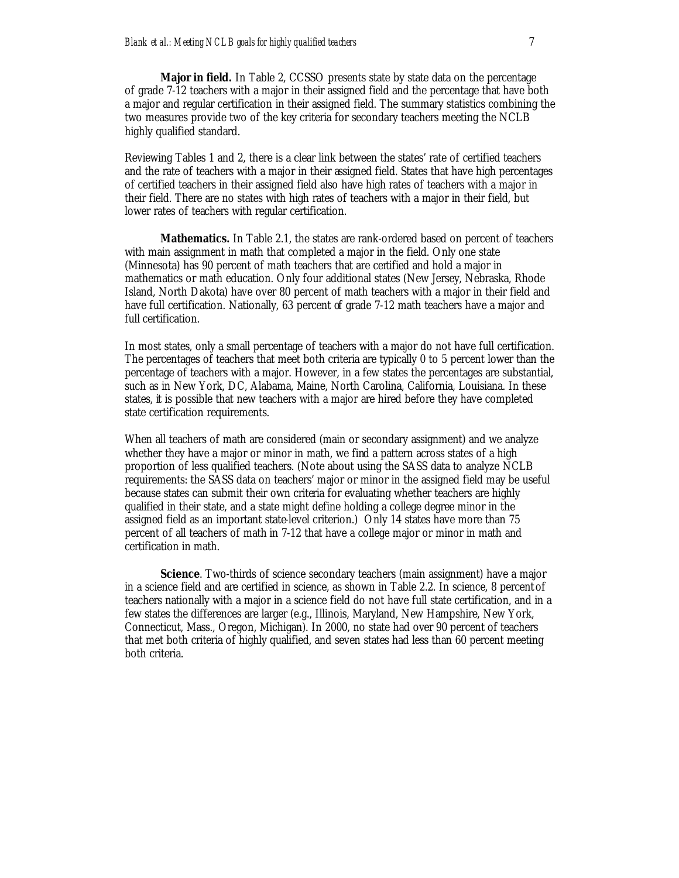**Major in field.** In Table 2, CCSSO presents state by state data on the percentage of grade 7-12 teachers with a major in their assigned field and the percentage that have both a major and regular certification in their assigned field. The summary statistics combining the two measures provide two of the key criteria for secondary teachers meeting the NCLB highly qualified standard.

Reviewing Tables 1 and 2, there is a clear link between the states' rate of certified teachers and the rate of teachers with a major in their assigned field. States that have high percentages of certified teachers in their assigned field also have high rates of teachers with a major in their field. There are no states with high rates of teachers with a major in their field, but lower rates of teachers with regular certification.

**Mathematics.** In Table 2.1, the states are rank-ordered based on percent of teachers with main assignment in math that completed a major in the field. Only one state (Minnesota) has 90 percent of math teachers that are certified and hold a major in mathematics or math education. Only four additional states (New Jersey, Nebraska, Rhode Island, North Dakota) have over 80 percent of math teachers with a major in their field and have full certification. Nationally, 63 percent of grade 7-12 math teachers have a major and full certification.

In most states, only a small percentage of teachers with a major do not have full certification. The percentages of teachers that meet both criteria are typically 0 to 5 percent lower than the percentage of teachers with a major. However, in a few states the percentages are substantial, such as in New York, DC, Alabama, Maine, North Carolina, California, Louisiana. In these states, it is possible that new teachers with a major are hired before they have completed state certification requirements.

When all teachers of math are considered (main or secondary assignment) and we analyze whether they have a major or minor in math, we find a pattern across states of a high proportion of less qualified teachers. (Note about using the SASS data to analyze NCLB requirements: the SASS data on teachers' major or minor in the assigned field may be useful because states can submit their own criteria for evaluating whether teachers are highly qualified in their state, and a state might define holding a college degree minor in the assigned field as an important state-level criterion.) Only 14 states have more than 75 percent of all teachers of math in 7-12 that have a college major or minor in math and certification in math.

**Science**. Two-thirds of science secondary teachers (main assignment) have a major in a science field and are certified in science, as shown in Table 2.2. In science, 8 percent of teachers nationally with a major in a science field do not have full state certification, and in a few states the differences are larger (e.g., Illinois, Maryland, New Hampshire, New York, Connecticut, Mass., Oregon, Michigan). In 2000, no state had over 90 percent of teachers that met both criteria of highly qualified, and seven states had less than 60 percent meeting both criteria.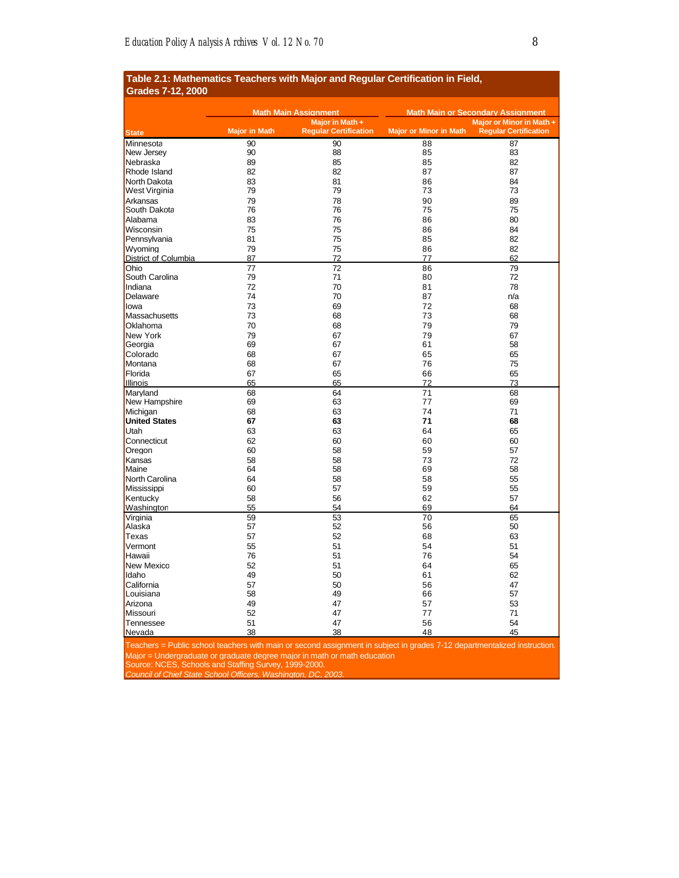| rabic 2.1. matricritativo Teavricio with major and ivegular vertinvativii in Field,<br><b>Grades 7-12, 2000</b> |                             |                              |                               |                                          |
|-----------------------------------------------------------------------------------------------------------------|-----------------------------|------------------------------|-------------------------------|------------------------------------------|
|                                                                                                                 | <b>Math Main Assignment</b> |                              |                               | <b>Math Main or Secondary Assignment</b> |
|                                                                                                                 |                             | Major in Math +              |                               | Major or Minor in Math +                 |
| <b>State</b>                                                                                                    | <b>Major in Math</b>        | <b>Regular Certification</b> | <b>Major or Minor in Math</b> | <b>Regular Certification</b>             |
| Minnesota                                                                                                       | 90                          | 90                           | 88                            | 87                                       |
| New Jersey                                                                                                      | 90                          | 88                           | 85                            | 83                                       |
| Nebraska                                                                                                        | 89                          | 85                           | 85                            | 82                                       |
| Rhode Island                                                                                                    | 82                          | 82                           | 87                            | 87                                       |
| North Dakota                                                                                                    | 83                          | 81                           | 86                            | 84                                       |
| West Virginia                                                                                                   | 79                          | 79                           | 73                            | 73                                       |
| Arkansas                                                                                                        | 79                          | 78                           | 90                            | 89                                       |
| South Dakota                                                                                                    | 76                          | 76                           | 75                            | 75                                       |
| Alabama                                                                                                         | 83                          | 76                           | 86                            | 80                                       |
| Wisconsin                                                                                                       | 75                          | 75                           | 86                            | 84                                       |
| Pennsylvania                                                                                                    | 81                          | 75                           | 85                            | 82                                       |
| Wvomina                                                                                                         | 79                          | 75                           | 86                            | 82                                       |
| District of Columbia                                                                                            | 87                          | 72                           | 77                            | 62                                       |
| Ohio                                                                                                            | 77                          | 72                           | 86                            | 79                                       |
| South Carolina                                                                                                  | 79                          | 71                           | 80                            | 72                                       |
| Indiana                                                                                                         | 72                          | 70                           | 81                            | 78                                       |
| Delaware                                                                                                        | 74                          | 70                           | 87                            | n/a                                      |
| lowa                                                                                                            | 73                          | 69                           | 72                            | 68                                       |
| Massachusetts                                                                                                   | 73                          | 68                           | 73                            | 68                                       |
| Oklahoma                                                                                                        | 70                          | 68                           | 79                            | 79                                       |
| New York                                                                                                        | 79                          | 67                           | 79                            | 67                                       |
| Georgia                                                                                                         | 69                          | 67                           | 61                            | 58                                       |
| Colorado                                                                                                        | 68                          |                              | 65                            | 65                                       |
| Montana                                                                                                         | 68                          | 67<br>67                     | 76                            | 75                                       |
|                                                                                                                 |                             |                              |                               |                                          |
| Florida<br>Illinois                                                                                             | 67<br>65                    | 65<br>65                     | 66<br>72                      | 65<br>73                                 |
|                                                                                                                 |                             |                              | 71                            |                                          |
| Maryland<br>New Hampshire                                                                                       | 68<br>69                    | 64<br>63                     | 77                            | 68<br>69                                 |
|                                                                                                                 | 68                          | 63                           | 74                            | 71                                       |
| Michigan<br><b>United States</b>                                                                                | 67                          | 63                           | 71                            | 68                                       |
|                                                                                                                 |                             |                              |                               |                                          |
| Utah                                                                                                            | 63                          | 63                           | 64                            | 65                                       |
| Connecticut                                                                                                     | 62                          | 60                           | 60                            | 60                                       |
| Oregon                                                                                                          | 60                          | 58                           | 59                            | 57                                       |
| Kansas                                                                                                          | 58                          | 58                           | 73                            | 72                                       |
| Maine                                                                                                           | 64                          | 58                           | 69                            | 58                                       |
| North Carolina                                                                                                  | 64                          | 58                           | 58                            | 55                                       |
| Mississippi                                                                                                     | 60                          | 57                           | 59                            | 55                                       |
| Kentucky                                                                                                        | 58                          | 56                           | 62                            | 57                                       |
| Washington                                                                                                      | 55                          | 54                           | 69                            | 64                                       |
| Virginia                                                                                                        | 59                          | 53                           | 70                            | 65                                       |
| Alaska                                                                                                          | 57                          | 52                           | 56                            | 50                                       |
| <b>Texas</b>                                                                                                    | 57                          | 52                           | 68                            | 63                                       |
| Vermont                                                                                                         | 55                          | 51                           | 54                            | 51                                       |
| Hawaii                                                                                                          | 76                          | 51                           | 76                            | 54                                       |
| <b>New Mexicc</b>                                                                                               | 52                          | 51                           | 64                            | 65                                       |
| Idaho                                                                                                           | 49                          | 50                           | 61                            | 62                                       |
| California                                                                                                      | 57                          | 50                           | 56                            | 47                                       |
| Louisiana                                                                                                       | 58                          | 49                           | 66                            | 57                                       |
| Arizona                                                                                                         | 49                          | 47                           | 57                            | 53                                       |
| Missouri                                                                                                        | 52                          | 47                           | 77                            | 71                                       |
| Tennessee                                                                                                       | 51                          | 47                           | 56                            | 54                                       |
| Nevada                                                                                                          | 38                          | 38                           | 48                            | 45                                       |

# **Table 2.1: Mathematics Teachers with Major and Regular Certification in Field,**

Teachers = Public school teachers with main or second assignment in subject in grades 7-12 departmentalized instruction. Major = Undergraduate or graduate degree major in math or math education.

Source: NCES, Schools and Staffing Survey, 1999-2000.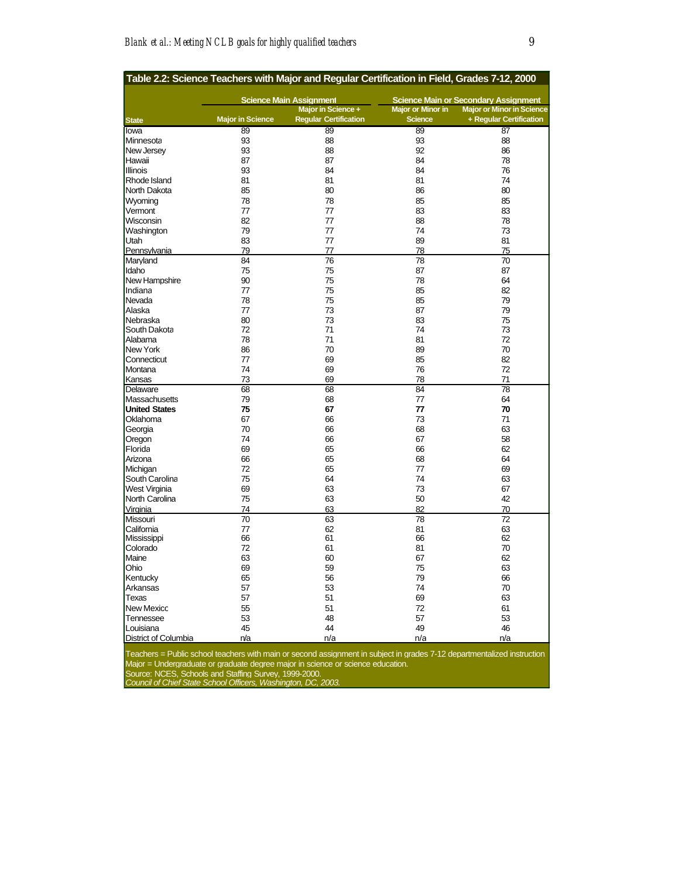| Table 2.2: Science Teachers with Major and Regular Certification in Field, Grades 7-12, 2000 |                                |                              |                          |                                             |
|----------------------------------------------------------------------------------------------|--------------------------------|------------------------------|--------------------------|---------------------------------------------|
|                                                                                              | <b>Science Main Assignment</b> |                              |                          | <b>Science Main or Secondary Assignment</b> |
|                                                                                              |                                | Major in Science +           | <b>Major or Minor in</b> | <b>Major or Minor in Science</b>            |
| <b>State</b>                                                                                 | <b>Major in Science</b>        | <b>Regular Certification</b> | <b>Science</b>           | + Regular Certification                     |
| lowa                                                                                         | 89                             | 89                           | 89                       | 87                                          |
| Minnesota                                                                                    | 93                             | 88                           | 93                       | 88                                          |
| New Jersey                                                                                   | 93                             | 88                           | 92                       | 86                                          |
| Hawaii                                                                                       | 87                             | 87                           | 84                       | 78                                          |
| Illinois                                                                                     | 93                             | 84                           | 84                       | 76                                          |
| Rhode Island                                                                                 | 81                             | 81                           | 81                       | 74                                          |
|                                                                                              |                                |                              |                          |                                             |
| North Dakota                                                                                 | 85                             | 80                           | 86                       | 80                                          |
| Wyoming                                                                                      | 78                             | 78                           | 85                       | 85                                          |
| Vermont                                                                                      | 77                             | 77                           | 83                       | 83                                          |
| Wisconsin                                                                                    | 82                             | 77                           | 88                       | 78                                          |
| Washington                                                                                   | 79                             | 77                           | 74                       | 73                                          |
| Utah                                                                                         | 83                             | 77                           | 89                       | 81                                          |
| Pennsylvania                                                                                 | 79                             | 77                           | 78                       | 75                                          |
| Maryland                                                                                     | 84                             | 76                           | 78                       | 70                                          |
| Idaho                                                                                        | 75                             | 75                           | 87                       | 87                                          |
| New Hampshire                                                                                | 90                             | 75                           | 78                       | 64                                          |
| Indiana                                                                                      | 77                             | 75                           | 85                       | 82                                          |
| Nevada                                                                                       | 78                             | 75                           | 85                       | 79                                          |
| Alaska                                                                                       | 77                             | 73                           | 87                       | 79                                          |
|                                                                                              |                                |                              |                          |                                             |
| Nebraska                                                                                     | 80                             | 73                           | 83<br>74                 | 75                                          |
| South Dakota                                                                                 | 72                             | 71                           |                          | 73                                          |
| Alabama                                                                                      | 78                             | 71                           | 81                       | 72                                          |
| <b>New York</b>                                                                              | 86                             | 70                           | 89                       | 70                                          |
| Connecticut                                                                                  | 77                             | 69                           | 85                       | 82                                          |
| Montana                                                                                      | 74                             | 69                           | 76                       | 72                                          |
| Kansas                                                                                       | 73                             | 69                           | 78                       | 71                                          |
| Delaware                                                                                     | 68                             | 68                           | 84                       | 78                                          |
| Massachusetts                                                                                | 79                             | 68                           | 77                       | 64                                          |
| <b>United States</b>                                                                         | 75                             | 67                           | 77                       | 70                                          |
| Oklahoma                                                                                     | 67                             | 66                           | 73                       | 71                                          |
| Georgia                                                                                      | 70                             | 66                           | 68                       | 63                                          |
| Oregon                                                                                       | 74                             | 66                           | 67                       | 58                                          |
| Florida                                                                                      | 69                             | 65                           | 66                       | 62                                          |
| Arizona                                                                                      | 66                             | 65                           | 68                       | 64                                          |
|                                                                                              | 72                             |                              | 77                       |                                             |
| Michigan                                                                                     |                                | 65                           |                          | 69                                          |
| South Carolina                                                                               | 75                             | 64                           | 74                       | 63                                          |
| <b>West Virginia</b>                                                                         | 69                             | 63                           | 73                       | 67                                          |
| <b>North Carolina</b>                                                                        | 75                             | 63                           | 50                       | 42                                          |
| Virginia                                                                                     | 74                             | 63                           | 82                       | 70                                          |
| Missouri                                                                                     | 70                             | 63                           | 78                       | 72                                          |
| California                                                                                   | 77                             | 62                           | 81                       | 63                                          |
| Mississippi                                                                                  | 66                             | 61                           | 66                       | 62                                          |
| Colorado                                                                                     | 72                             | 61                           | 81                       | 70                                          |
| Maine                                                                                        | 63                             | 60                           | 67                       | 62                                          |
| Ohio                                                                                         | 69                             | 59                           | 75                       | 63                                          |
| Kentucky                                                                                     | 65                             | 56                           | 79                       | 66                                          |
| Arkansas                                                                                     | 57                             | 53                           | 74                       | 70                                          |
| Texas                                                                                        | 57                             | 51                           | 69                       | 63                                          |
|                                                                                              | 55                             | 51                           | 72                       | 61                                          |
| <b>New Mexicc</b>                                                                            |                                |                              |                          |                                             |
| Tennessee                                                                                    | 53                             | 48                           | 57                       | 53                                          |
| Louisiana                                                                                    | 45                             | 44                           | 49                       | 46                                          |
| <b>District of Columbia</b>                                                                  | n/a                            | n/a                          | n/a                      | n/a                                         |

Teachers = Public school teachers with main or second assignment in subject in grades 7-12 departmentalized instruction. Major = Undergraduate or graduate degree major in science or science education.

Source: NCES, Schools and Staffing Survey, 1999-2000.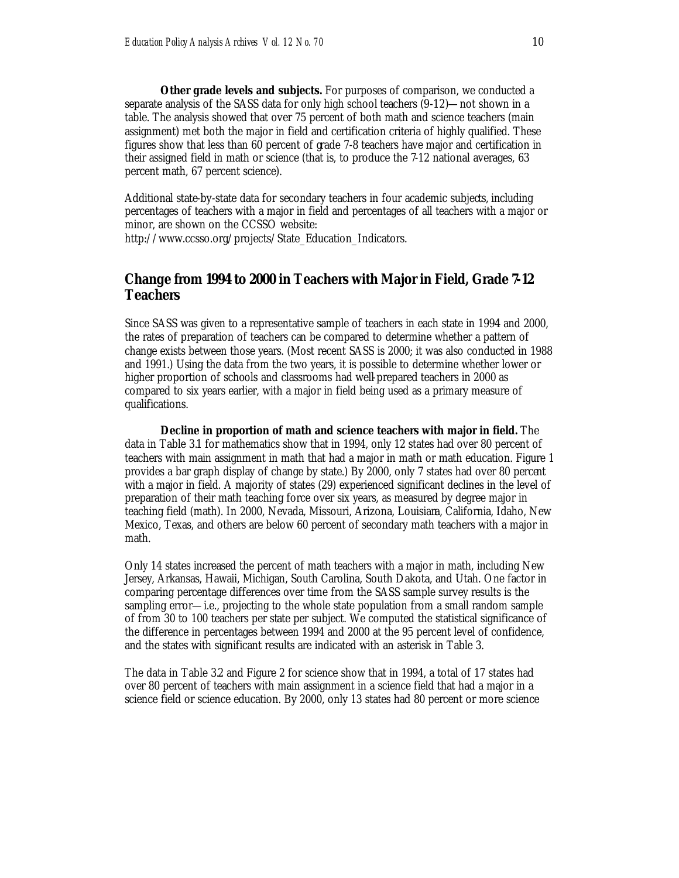**Other grade levels and subjects.** For purposes of comparison, we conducted a separate analysis of the SASS data for only high school teachers (9-12)—not shown in a table. The analysis showed that over 75 percent of both math and science teachers (main assignment) met both the major in field and certification criteria of highly qualified. These figures show that less than 60 percent of grade 7-8 teachers have major and certification in their assigned field in math or science (that is, to produce the 7-12 national averages, 63 percent math, 67 percent science).

Additional state-by-state data for secondary teachers in four academic subjects, including percentages of teachers with a major in field and percentages of all teachers with a major or minor, are shown on the CCSSO website:

http://www.ccsso.org/projects/State\_Education\_Indicators.

## **Change from 1994 to 2000 in Teachers with Major in Field, Grade 7-12 Teachers**

Since SASS was given to a representative sample of teachers in each state in 1994 and 2000, the rates of preparation of teachers can be compared to determine whether a pattern of change exists between those years. (Most recent SASS is 2000; it was also conducted in 1988 and 1991.) Using the data from the two years, it is possible to determine whether lower or higher proportion of schools and classrooms had well-prepared teachers in 2000 as compared to six years earlier, with a major in field being used as a primary measure of qualifications.

**Decline in proportion of math and science teachers with major in field.** The data in Table 3.1 for mathematics show that in 1994, only 12 states had over 80 percent of teachers with main assignment in math that had a major in math or math education. Figure 1 provides a bar graph display of change by state.) By 2000, only 7 states had over 80 percent with a major in field. A majority of states (29) experienced significant declines in the level of preparation of their math teaching force over six years, as measured by degree major in teaching field (math). In 2000, Nevada, Missouri, Arizona, Louisiana, California, Idaho, New Mexico, Texas, and others are below 60 percent of secondary math teachers with a major in math.

Only 14 states increased the percent of math teachers with a major in math, including New Jersey, Arkansas, Hawaii, Michigan, South Carolina, South Dakota, and Utah. One factor in comparing percentage differences over time from the SASS sample survey results is the sampling error—i.e., projecting to the whole state population from a small random sample of from 30 to 100 teachers per state per subject. We computed the statistical significance of the difference in percentages between 1994 and 2000 at the 95 percent level of confidence, and the states with significant results are indicated with an asterisk in Table 3.

The data in Table 3.2 and Figure 2 for science show that in 1994, a total of 17 states had over 80 percent of teachers with main assignment in a science field that had a major in a science field or science education. By 2000, only 13 states had 80 percent or more science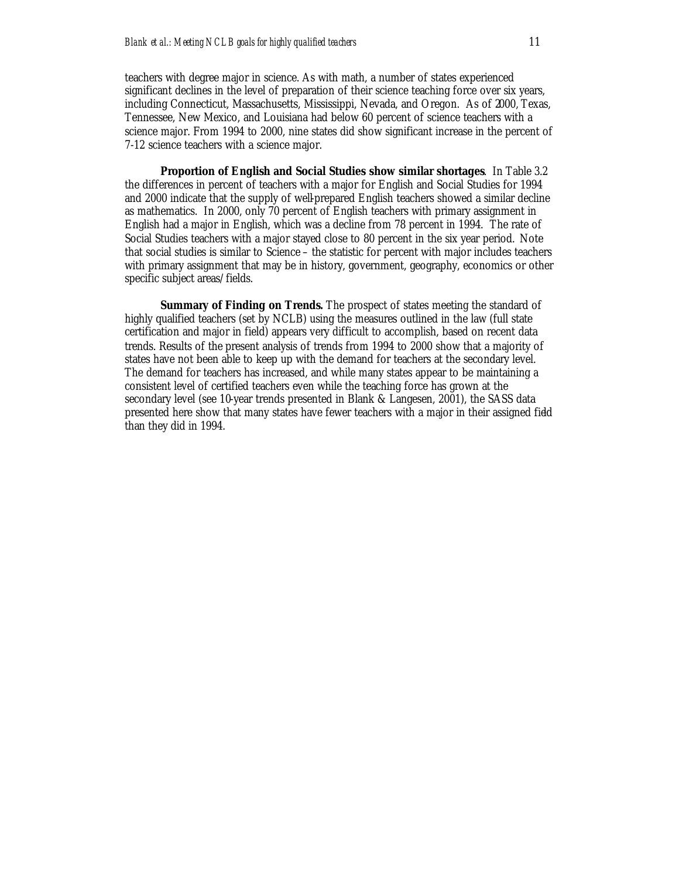teachers with degree major in science. As with math, a number of states experienced significant declines in the level of preparation of their science teaching force over six years, including Connecticut, Massachusetts, Mississippi, Nevada, and Oregon. As of 2000, Texas, Tennessee, New Mexico, and Louisiana had below 60 percent of science teachers with a science major. From 1994 to 2000, nine states did show significant increase in the percent of 7-12 science teachers with a science major.

**Proportion of English and Social Studies show similar shortages**. In Table 3.2 the differences in percent of teachers with a major for English and Social Studies for 1994 and 2000 indicate that the supply of well-prepared English teachers showed a similar decline as mathematics. In 2000, only 70 percent of English teachers with primary assignment in English had a major in English, which was a decline from 78 percent in 1994. The rate of Social Studies teachers with a major stayed close to 80 percent in the six year period. Note that social studies is similar to Science – the statistic for percent with major includes teachers with primary assignment that may be in history, government, geography, economics or other specific subject areas/fields.

**Summary of Finding on Trends***.* The prospect of states meeting the standard of highly qualified teachers (set by NCLB) using the measures outlined in the law (full state certification and major in field) appears very difficult to accomplish, based on recent data trends. Results of the present analysis of trends from 1994 to 2000 show that a majority of states have not been able to keep up with the demand for teachers at the secondary level. The demand for teachers has increased, and while many states appear to be maintaining a consistent level of certified teachers even while the teaching force has grown at the secondary level (see 10-year trends presented in Blank & Langesen, 2001), the SASS data presented here show that many states have fewer teachers with a major in their assigned field than they did in 1994.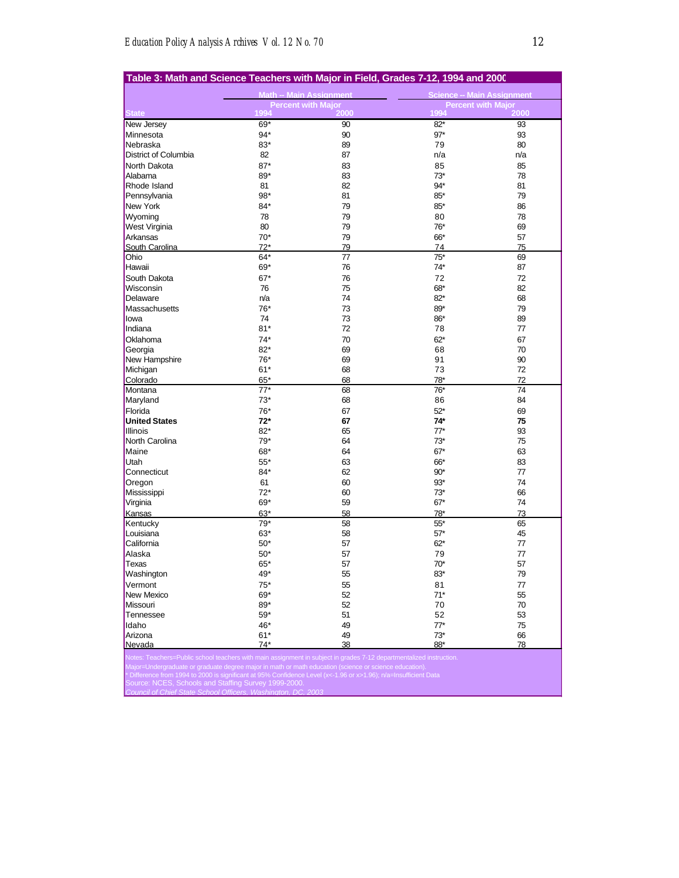| Table 3: Math and Science Teachers with Major in Field, Grades 7-12, 1994 and 2000                                  |                                |                                   |                                   |      |  |
|---------------------------------------------------------------------------------------------------------------------|--------------------------------|-----------------------------------|-----------------------------------|------|--|
|                                                                                                                     | <b>Math -- Main Assignment</b> |                                   | <b>Science -- Main Assignment</b> |      |  |
|                                                                                                                     | 1994                           | <b>Percent with Major</b><br>2000 | <b>Percent with Major</b><br>1994 | 2000 |  |
| <b>State</b><br>New Jersey                                                                                          | 69*                            | 90                                | $82*$                             | 93   |  |
| Minnesota                                                                                                           | $94*$                          | 90                                | $97*$                             | 93   |  |
| Nebraska                                                                                                            | 83*                            | 89                                | 79                                | 80   |  |
| District of Columbia                                                                                                | 82                             | 87                                | n/a                               | n/a  |  |
| North Dakota                                                                                                        | $87*$                          | 83                                | 85                                | 85   |  |
| Alabama                                                                                                             | 89*                            | 83                                | $73*$                             | 78   |  |
| Rhode Island                                                                                                        | 81                             | 82                                | 94*                               | 81   |  |
| Pennsylvania                                                                                                        | 98*                            | 81                                | 85*                               | 79   |  |
| New York                                                                                                            | $84*$                          | 79                                | 85*                               | 86   |  |
| Wyoming                                                                                                             | 78                             | 79                                | 80                                | 78   |  |
| West Virginia                                                                                                       | 80                             | 79                                | 76*                               | 69   |  |
| Arkansas                                                                                                            | $70*$                          | 79                                | 66*                               | 57   |  |
| South Carolina                                                                                                      | $72*$                          | 79                                | 74                                | 75   |  |
| Ohio                                                                                                                | $64*$                          | 77                                | $75*$                             | 69   |  |
| Hawaii                                                                                                              | 69*                            | 76                                | 74*                               | 87   |  |
| South Dakota                                                                                                        | $67*$                          | 76                                | 72                                | 72   |  |
| Wisconsin                                                                                                           | 76                             | 75                                | 68*                               | 82   |  |
| Delaware                                                                                                            | n/a                            | 74                                | $82*$                             | 68   |  |
| Massachusetts                                                                                                       | 76*                            | 73                                | 89*                               | 79   |  |
| lowa                                                                                                                | 74                             | 73                                | 86*                               | 89   |  |
| Indiana                                                                                                             | $81*$                          | 72                                | 78                                | 77   |  |
| Oklahoma                                                                                                            | $74*$                          | 70                                | $62*$                             | 67   |  |
| Georgia                                                                                                             | $82*$                          | 69                                | 68                                | 70   |  |
| New Hampshire                                                                                                       | 76*                            | 69                                | 91                                | 90   |  |
| Michigan                                                                                                            | $61*$                          | 68                                | 73                                | 72   |  |
| Colorado                                                                                                            | 65*                            | 68                                | 78*                               | 72   |  |
| Montana                                                                                                             | $77*$                          | 68                                | $76*$                             | 74   |  |
| Maryland                                                                                                            | $73*$                          | 68                                | 86                                | 84   |  |
| Florida                                                                                                             | 76*                            | 67                                | $52*$                             | 69   |  |
| <b>United States</b>                                                                                                | $72*$                          | 67                                | $74*$                             | 75   |  |
| <b>Illinois</b>                                                                                                     | $82*$                          | 65                                | $77*$                             | 93   |  |
| North Carolina                                                                                                      | 79*                            | 64                                | $73*$                             | 75   |  |
| Maine                                                                                                               | 68*                            | 64                                | $67*$                             | 63   |  |
| Utah                                                                                                                | $55*$                          | 63                                | 66*                               | 83   |  |
| Connecticut                                                                                                         | $84*$                          | 62                                | $90*$                             | 77   |  |
| Oregon                                                                                                              | 61                             | 60                                | $93*$                             | 74   |  |
| Mississippi                                                                                                         | $72*$                          | 60                                | $73*$                             | 66   |  |
| Virginia                                                                                                            | 69*                            | 59                                | $67*$                             | 74   |  |
| Kansas                                                                                                              | 63*                            | 58                                | 78*                               | 73   |  |
| Kentucky                                                                                                            | $79*$                          | 58                                | $55*$                             | 65   |  |
| Louisiana                                                                                                           | 63*                            | 58                                | $57*$                             | 45   |  |
| California                                                                                                          | $50*$                          | 57                                | $62*$                             | 77   |  |
| Alaska                                                                                                              | $50*$                          | 57                                | 79                                | 77   |  |
| <b>Texas</b>                                                                                                        | 65*                            | 57                                | $70*$                             | 57   |  |
| Washington                                                                                                          | 49*                            | 55                                | 83*                               | 79   |  |
| Vermont                                                                                                             | $75*$                          | 55                                | 81                                | 77   |  |
| New Mexico                                                                                                          | 69*                            | 52                                | $71*$                             | 55   |  |
| Missouri                                                                                                            | 89*                            | 52                                | 70                                | 70   |  |
| Tennessee                                                                                                           | $59*$                          | 51                                | 52                                | 53   |  |
| Idaho                                                                                                               | 46*                            | 49                                | $77*$                             | 75   |  |
| Arizona                                                                                                             | $61*$                          | 49                                | $73*$                             | 66   |  |
| Nevada                                                                                                              | $74*$                          | 38                                | 88*                               | 78   |  |
| Notes: Teachers=Public school teachers with main assignment in subject in grades 7-12 departmentalized instruction. |                                |                                   |                                   |      |  |
| Major=Undergraduate or graduate degree major in math or math education (science or science education).              |                                |                                   |                                   |      |  |

\* Difference from 1994 to 2000 is significant at 95% Confidence Level (x<-1.96 or x>1.96); n/a=Insufficient Data Source: NCES, Schools and Staffing Survey 1999-2000.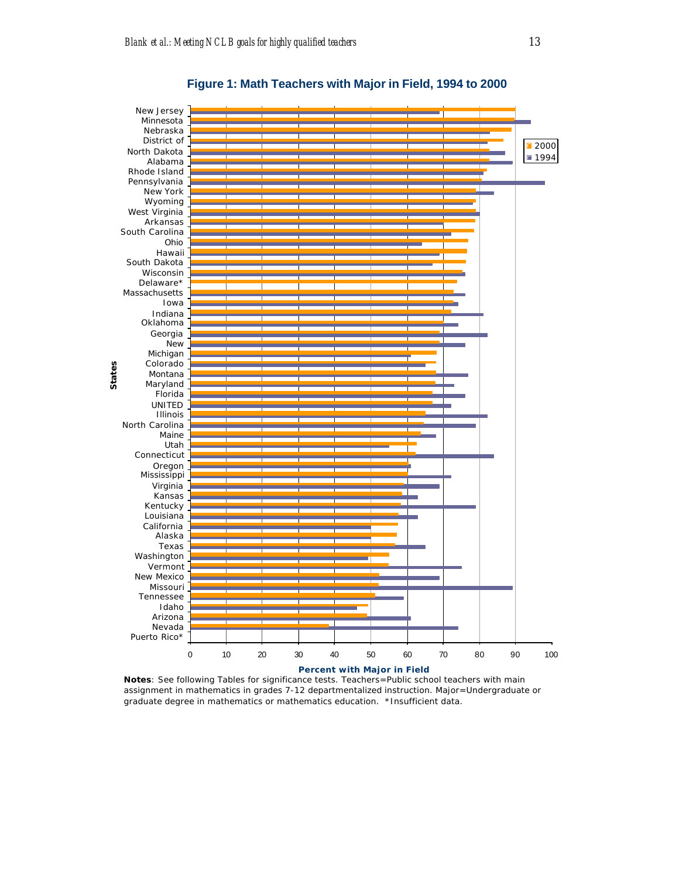

**Figure 1: Math Teachers with Major in Field, 1994 to 2000**

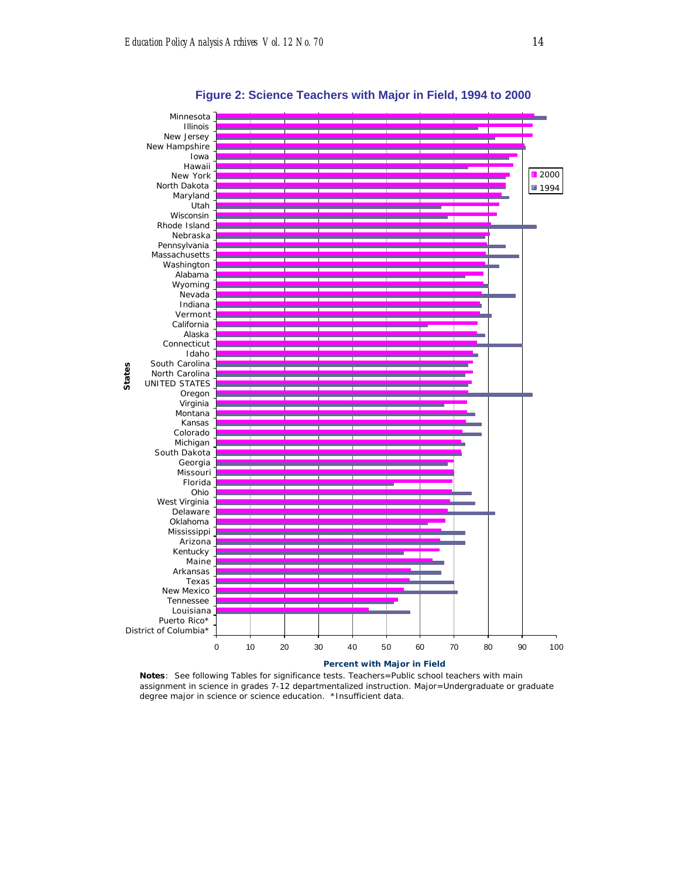

**Figure 2: Science Teachers with Major in Field, 1994 to 2000**

**Notes**: See following Tables for significance tests. Teachers=Public school teachers with main assignment in science in grades 7-12 departmentalized instruction. Major=Undergraduate or graduate degree major in science or science education. \*Insufficient data.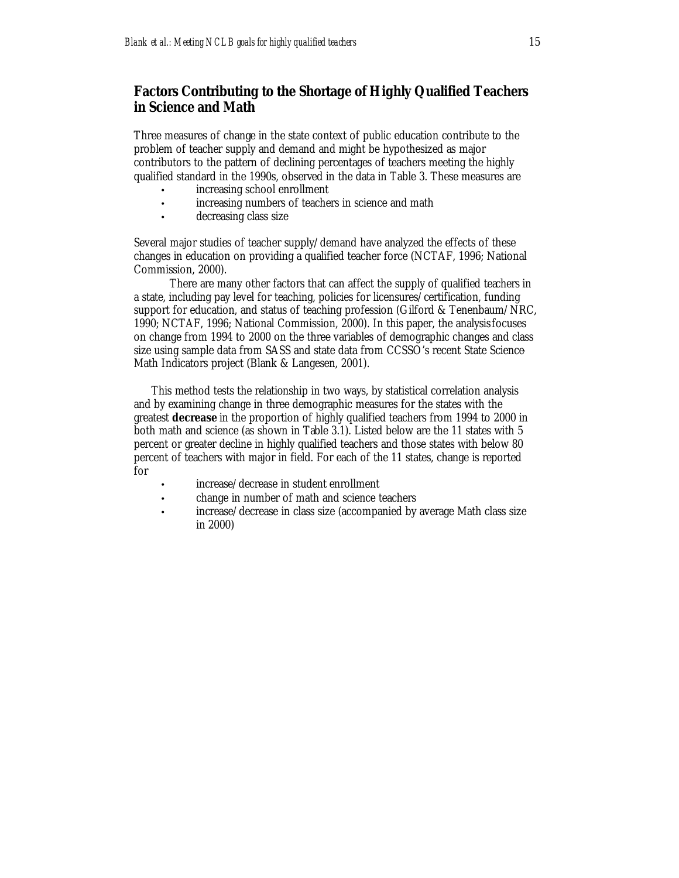## **Factors Contributing to the Shortage of Highly Qualified Teachers in Science and Math**

Three measures of change in the state context of public education contribute to the problem of teacher supply and demand and might be hypothesized as major contributors to the pattern of declining percentages of teachers meeting the highly qualified standard in the 1990s, observed in the data in Table 3. These measures are

- increasing school enrollment
- increasing numbers of teachers in science and math
- decreasing class size

Several major studies of teacher supply/demand have analyzed the effects of these changes in education on providing a qualified teacher force (NCTAF, 1996; National Commission, 2000).

There are many other factors that can affect the supply of qualified teachers in a state, including pay level for teaching, policies for licensures/certification, funding support for education, and status of teaching profession (Gilford & Tenenbaum/NRC, 1990; NCTAF, 1996; National Commission, 2000). In this paper, the analysis focuses on change from 1994 to 2000 on the three variables of demographic changes and class size using sample data from SASS and state data from CCSSO's recent State Science-Math Indicators project (Blank & Langesen, 2001).

This method tests the relationship in two ways, by statistical correlation analysis and by examining change in three demographic measures for the states with the greatest *decrease* in the proportion of highly qualified teachers from 1994 to 2000 in both math and science (as shown in Table 3.1). Listed below are the 11 states with 5 percent or greater decline in highly qualified teachers and those states with below 80 percent of teachers with major in field. For each of the 11 states, change is reported for

- increase/decrease in student enrollment
- change in number of math and science teachers
- increase/decrease in class size (accompanied by average Math class size in 2000)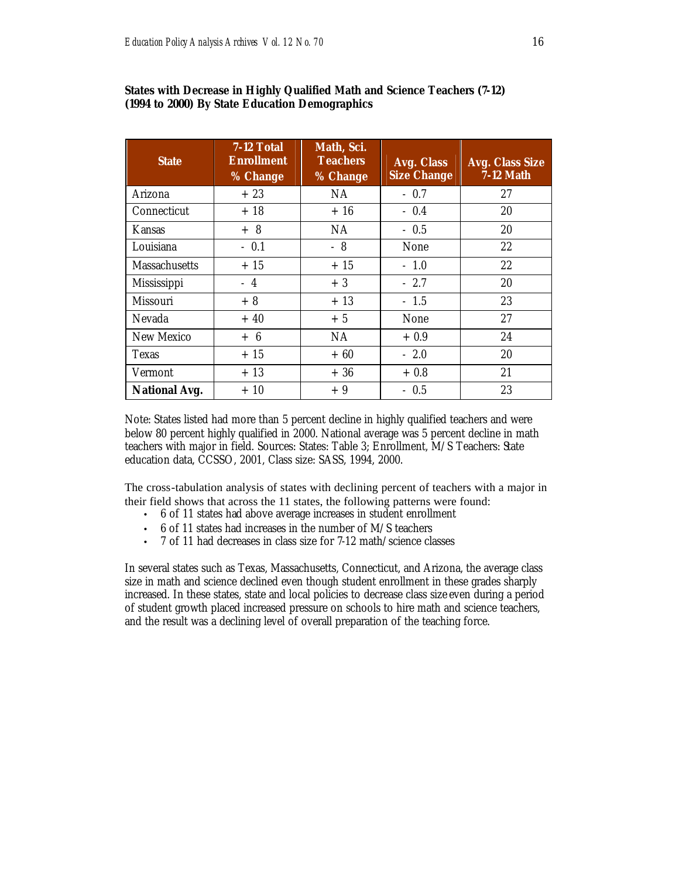| <b>State</b>         | 7-12 Total<br><b>Enrollment</b><br>% Change | Math, Sci.<br><b>Teachers</b><br>% Change | Avg. Class<br><b>Size Change</b> | <b>Avg. Class Size</b><br><b>7-12 Math</b> |
|----------------------|---------------------------------------------|-------------------------------------------|----------------------------------|--------------------------------------------|
| Arizona              | $+23$                                       | NA                                        | $-0.7$                           | 27                                         |
| Connecticut          | $+18$                                       | $+16$                                     | $-0.4$                           | 20                                         |
| <b>Kansas</b>        | $+8$                                        | NA.                                       | $-0.5$                           | 20                                         |
| Louisiana            | $-0.1$                                      | $-8$                                      | None                             | 22                                         |
| <b>Massachusetts</b> | $+15$                                       | $+15$                                     | $-1.0$                           | 22                                         |
| <b>Mississippi</b>   | $-4$                                        | $+3$                                      | $-2.7$                           | 20                                         |
| <b>Missouri</b>      | $+8$                                        | $+13$                                     | $-1.5$                           | 23                                         |
| Nevada               | $+40$                                       | $+5$                                      | None                             | 27                                         |
| New Mexico           | $+ 6$                                       | NA                                        | $+0.9$                           | 24                                         |
| <b>Texas</b>         | $+15$                                       | $+60$                                     | $-2.0$                           | 20                                         |
| Vermont              | $+13$                                       | $+36$                                     | $+0.8$                           | 21                                         |
| <b>National Avg.</b> | $+10$                                       | $+9$                                      | $-0.5$                           | 23                                         |

#### **States with Decrease in Highly Qualified Math and Science Teachers (7-12) (1994 to 2000) By State Education Demographics**

Note: States listed had more than 5 percent decline in highly qualified teachers and were below 80 percent highly qualified in 2000. National average was 5 percent decline in math teachers with major in field. Sources: States: Table 3; Enrollment, M/S Teachers: State education data, CCSSO, 2001, Class size: SASS, 1994, 2000.

The cross-tabulation analysis of states with declining percent of teachers with a major in their field shows that across the 11 states, the following patterns were found:

- 6 of 11 states had above average increases in student enrollment
- 6 of 11 states had increases in the number of M/S teachers
- 7 of 11 had decreases in class size for 7-12 math/science classes

In several states such as Texas, Massachusetts, Connecticut, and Arizona, the average class size in math and science declined even though student enrollment in these grades sharply increased. In these states, state and local policies to decrease class size even during a period of student growth placed increased pressure on schools to hire math and science teachers, and the result was a declining level of overall preparation of the teaching force.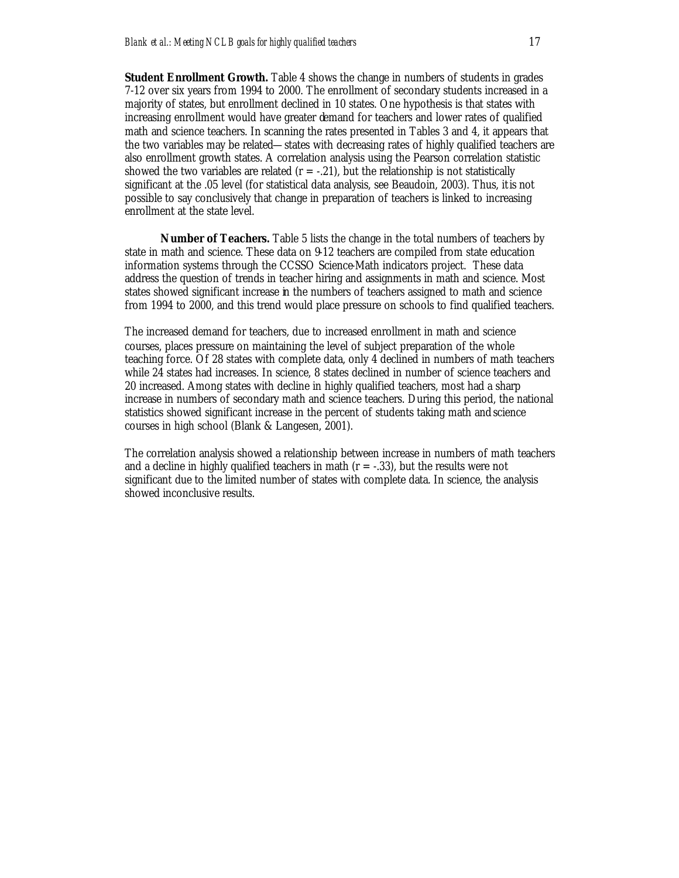**Student Enrollment Growth.** Table 4 shows the change in numbers of students in grades 7-12 over six years from 1994 to 2000. The enrollment of secondary students increased in a majority of states, but enrollment declined in 10 states. One hypothesis is that states with increasing enrollment would have greater demand for teachers and lower rates of qualified math and science teachers. In scanning the rates presented in Tables 3 and 4, it appears that the two variables may be related—states with decreasing rates of highly qualified teachers are also enrollment growth states. A correlation analysis using the Pearson correlation statistic showed the two variables are related  $(r = -21)$ , but the relationship is not statistically significant at the .05 level (for statistical data analysis, see Beaudoin, 2003). Thus, it is not possible to say conclusively that change in preparation of teachers is linked to increasing enrollment at the state level.

**Number of Teachers.** Table 5 lists the change in the total numbers of teachers by state in math and science. These data on 9-12 teachers are compiled from state education information systems through the CCSSO Science-Math indicators project. These data address the question of trends in teacher hiring and assignments in math and science. Most states showed significant increase in the numbers of teachers assigned to math and science from 1994 to 2000, and this trend would place pressure on schools to find qualified teachers.

The increased demand for teachers, due to increased enrollment in math and science courses, places pressure on maintaining the level of subject preparation of the whole teaching force. Of 28 states with complete data, only 4 declined in numbers of math teachers while 24 states had increases. In science, 8 states declined in number of science teachers and 20 increased. Among states with decline in highly qualified teachers, most had a sharp increase in numbers of secondary math and science teachers. During this period, the national statistics showed significant increase in the percent of students taking math and science courses in high school (Blank & Langesen, 2001).

The correlation analysis showed a relationship between increase in numbers of math teachers and a decline in highly qualified teachers in math  $(r = -0.33)$ , but the results were not significant due to the limited number of states with complete data. In science, the analysis showed inconclusive results.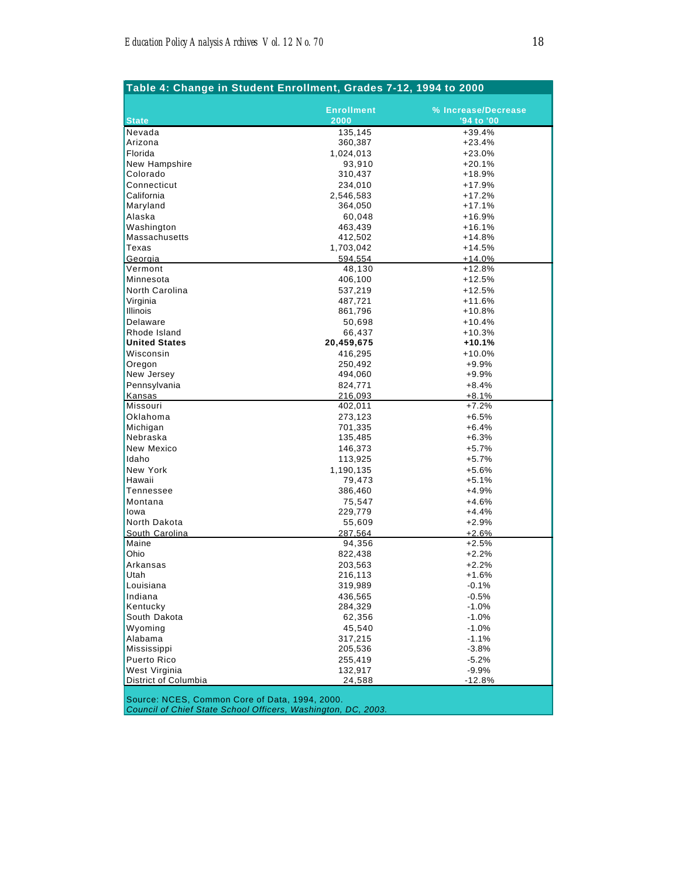| Table 4: Change in Student Enrollment, Grades 7-12, 1994 to 2000 |                   |                     |  |  |
|------------------------------------------------------------------|-------------------|---------------------|--|--|
|                                                                  |                   |                     |  |  |
|                                                                  | <b>Enrollment</b> | % Increase/Decrease |  |  |
| <b>State</b>                                                     | 2000              | '94 to '00          |  |  |
| Nevada                                                           | 135,145           | $+39.4%$            |  |  |
| Arizona                                                          | 360,387           | $+23.4%$            |  |  |
| Florida                                                          | 1,024,013         | $+23.0%$            |  |  |
| New Hampshire                                                    | 93,910            | $+20.1%$            |  |  |
| Colorado                                                         | 310,437           | +18.9%              |  |  |
| Connecticut                                                      | 234,010           | $+17.9%$            |  |  |
| California                                                       | 2,546,583         | $+17.2%$            |  |  |
| Maryland                                                         | 364,050           | $+17.1%$            |  |  |
| Alaska                                                           | 60,048            | $+16.9%$            |  |  |
| Washington                                                       | 463,439           | $+16.1%$            |  |  |
| <b>Massachusetts</b>                                             | 412,502           | $+14.8%$            |  |  |
| Texas                                                            | 1,703,042         | $+14.5%$            |  |  |
| Georgia                                                          | 594,554           | $+14.0%$            |  |  |
| Vermont                                                          | 48,130            | $+12.8%$            |  |  |
| Minnesota                                                        | 406,100           | $+12.5%$            |  |  |
| North Carolina                                                   | 537,219           | $+12.5%$            |  |  |
| Virginia                                                         | 487,721           | $+11.6%$            |  |  |
| Illinois                                                         | 861,796           | $+10.8%$            |  |  |
| Delaware                                                         | 50,698            | $+10.4%$            |  |  |
| Rhode Island                                                     | 66,437            | $+10.3%$            |  |  |
| <b>United States</b>                                             | 20,459,675        | +10.1%              |  |  |
| Wisconsin                                                        | 416,295           | $+10.0%$            |  |  |
| Oregon                                                           | 250,492           | $+9.9%$             |  |  |
| New Jersey                                                       | 494,060           | $+9.9%$             |  |  |
| Pennsylvania                                                     | 824,771           | $+8.4%$             |  |  |
| Kansas                                                           | 216,093           | $+8.1%$             |  |  |
| Missouri                                                         | 402,011           | $+7.2%$             |  |  |
| Oklahoma                                                         | 273,123           | $+6.5%$             |  |  |
| Michigan                                                         | 701,335           | $+6.4%$             |  |  |
| Nebraska                                                         |                   | $+6.3%$             |  |  |
| New Mexico                                                       | 135,485           | $+5.7%$             |  |  |
| Idaho                                                            | 146,373           |                     |  |  |
|                                                                  | 113,925           | $+5.7%$             |  |  |
| New York                                                         | 1,190,135         | $+5.6%$             |  |  |
| Hawaii                                                           | 79,473            | $+5.1%$             |  |  |
| Tennessee                                                        | 386,460           | $+4.9%$             |  |  |
| Montana                                                          | 75,547            | $+4.6%$             |  |  |
| lowa                                                             | 229,779           | $+4.4%$             |  |  |
| North Dakota                                                     | 55,609            | $+2.9%$             |  |  |
| South Carolina                                                   | 287.564           | $+2.6%$             |  |  |
| Maine                                                            | 94,356            | $+2.5%$             |  |  |
| Ohio                                                             | 822,438           | $+2.2%$             |  |  |
| Arkansas                                                         | 203,563           | $+2.2%$             |  |  |
| Utah                                                             | 216,113           | +1.6%               |  |  |
| Louisiana                                                        | 319,989           | $-0.1%$             |  |  |
| Indiana                                                          | 436,565           | $-0.5%$             |  |  |
| Kentucky                                                         | 284,329           | $-1.0%$             |  |  |
| South Dakota                                                     | 62,356            | $-1.0%$             |  |  |
| Wyoming                                                          | 45,540            | $-1.0%$             |  |  |
| Alabama                                                          | 317,215           | $-1.1%$             |  |  |
| Mississippi                                                      | 205,536           | $-3.8%$             |  |  |
| Puerto Rico                                                      | 255,419           | $-5.2%$             |  |  |
| West Virginia                                                    | 132,917           | $-9.9%$             |  |  |
| District of Columbia                                             | 24,588            | $-12.8%$            |  |  |
|                                                                  |                   |                     |  |  |

Source: NCES, Common Core of Data, 1994, 2000.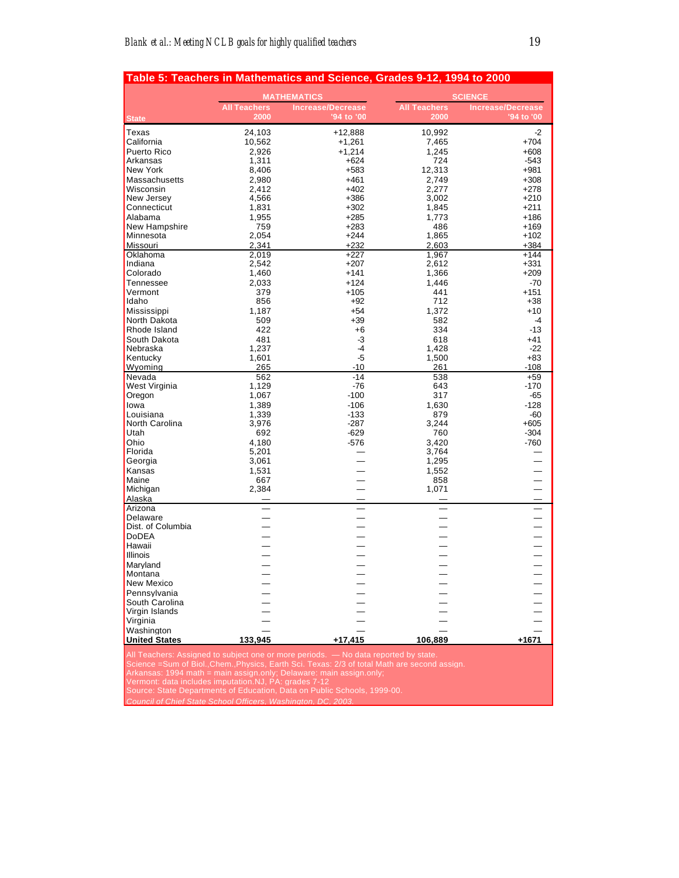| Table 5: Teachers in Mathematics and Science, Grades 9-12, 1994 to 2000                                                                                                                                                                                                                                                |                             |                                                                          |                             |                                        |  |
|------------------------------------------------------------------------------------------------------------------------------------------------------------------------------------------------------------------------------------------------------------------------------------------------------------------------|-----------------------------|--------------------------------------------------------------------------|-----------------------------|----------------------------------------|--|
|                                                                                                                                                                                                                                                                                                                        | <b>MATHEMATICS</b>          |                                                                          | <b>SCIENCE</b>              |                                        |  |
| <b>State</b>                                                                                                                                                                                                                                                                                                           | <b>All Teachers</b><br>2000 | <b>Increase/Decrease</b><br>'94 to '00                                   | <b>All Teachers</b><br>2000 | <b>Increase/Decrease</b><br>'94 to '00 |  |
| Texas                                                                                                                                                                                                                                                                                                                  | 24,103                      | +12,888                                                                  | 10,992                      | $-2$                                   |  |
| California                                                                                                                                                                                                                                                                                                             | 10,562                      | $+1,261$                                                                 | 7,465                       | $+704$                                 |  |
| Puerto Rico                                                                                                                                                                                                                                                                                                            | 2,926                       | $+1,214$                                                                 | 1,245                       | $+608$                                 |  |
| Arkansas                                                                                                                                                                                                                                                                                                               | 1,311                       | +624                                                                     | 724                         | $-543$                                 |  |
| <b>New York</b>                                                                                                                                                                                                                                                                                                        | 8,406                       | +583                                                                     | 12,313                      | $+981$                                 |  |
| Massachusetts                                                                                                                                                                                                                                                                                                          | 2,980                       | $+461$                                                                   | 2,749                       | $+308$                                 |  |
| Wisconsin                                                                                                                                                                                                                                                                                                              | 2,412                       | $+402$                                                                   | 2,277                       | $+278$                                 |  |
| New Jersey                                                                                                                                                                                                                                                                                                             | 4,566                       | $+386$                                                                   | 3,002                       | $+210$                                 |  |
| Connecticut                                                                                                                                                                                                                                                                                                            | 1,831                       | $+302$                                                                   | 1,845                       | $+211$                                 |  |
| Alabama                                                                                                                                                                                                                                                                                                                | 1,955                       | $+285$                                                                   | 1,773                       | $+186$                                 |  |
| New Hampshire                                                                                                                                                                                                                                                                                                          | 759                         | $+283$                                                                   | 486                         | $+169$                                 |  |
| Minnesota                                                                                                                                                                                                                                                                                                              | 2,054                       | $+244$                                                                   | 1,865                       | $+102$                                 |  |
| Missouri                                                                                                                                                                                                                                                                                                               | 2,341                       | $+232$                                                                   | 2,603                       | $+384$<br>$+144$                       |  |
| Oklahoma<br>Indiana                                                                                                                                                                                                                                                                                                    | 2,019<br>2,542              | $+227$<br>$+207$                                                         | 1,967<br>2,612              | $+331$                                 |  |
| Colorado                                                                                                                                                                                                                                                                                                               | 1,460                       | $+141$                                                                   | 1,366                       | $+209$                                 |  |
| Tennessee                                                                                                                                                                                                                                                                                                              | 2,033                       | $+124$                                                                   | 1,446                       | $-70$                                  |  |
| Vermont                                                                                                                                                                                                                                                                                                                | 379                         | $+105$                                                                   | 441                         | $+151$                                 |  |
| Idaho                                                                                                                                                                                                                                                                                                                  | 856                         | $+92$                                                                    | 712                         | $+38$                                  |  |
| Mississippi                                                                                                                                                                                                                                                                                                            | 1,187                       | $+54$                                                                    | 1,372                       | $+10$                                  |  |
| North Dakota                                                                                                                                                                                                                                                                                                           | 509                         | $+39$                                                                    | 582                         | $-4$                                   |  |
| Rhode Island                                                                                                                                                                                                                                                                                                           | 422                         | $+6$                                                                     | 334                         | $-13$                                  |  |
| South Dakota                                                                                                                                                                                                                                                                                                           | 481                         | -3                                                                       | 618                         | +41                                    |  |
| Nebraska                                                                                                                                                                                                                                                                                                               | 1,237                       | $-4$                                                                     | 1,428                       | $-22$                                  |  |
| Kentucky                                                                                                                                                                                                                                                                                                               | 1,601                       | $-5$                                                                     | 1,500                       | $+83$                                  |  |
| Wyoming                                                                                                                                                                                                                                                                                                                | 265                         | $-10$                                                                    | 261                         | $-108$                                 |  |
| Nevada                                                                                                                                                                                                                                                                                                                 | 562                         | $-14$                                                                    | 538                         | $+59$                                  |  |
| West Virginia<br>Oregon                                                                                                                                                                                                                                                                                                | 1,129<br>1,067              | $-76$<br>$-100$                                                          | 643<br>317                  | $-170$<br>$-65$                        |  |
| lowa                                                                                                                                                                                                                                                                                                                   | 1,389                       | $-106$                                                                   | 1,630                       | $-128$                                 |  |
| Louisiana                                                                                                                                                                                                                                                                                                              | 1,339                       | $-133$                                                                   | 879                         | $-60$                                  |  |
| North Carolina                                                                                                                                                                                                                                                                                                         | 3,976                       | -287                                                                     | 3,244                       | $+605$                                 |  |
| Utah                                                                                                                                                                                                                                                                                                                   | 692                         | $-629$                                                                   | 760                         | $-304$                                 |  |
| Ohio                                                                                                                                                                                                                                                                                                                   | 4,180                       | $-576$                                                                   | 3,420                       | $-760$                                 |  |
| Florida                                                                                                                                                                                                                                                                                                                | 5,201                       |                                                                          | 3,764                       |                                        |  |
| Georgia                                                                                                                                                                                                                                                                                                                | 3,061                       |                                                                          | 1,295                       |                                        |  |
| Kansas                                                                                                                                                                                                                                                                                                                 | 1,531                       |                                                                          | 1,552                       |                                        |  |
| Maine                                                                                                                                                                                                                                                                                                                  | 667                         |                                                                          | 858                         |                                        |  |
| Michigan                                                                                                                                                                                                                                                                                                               | 2,384                       |                                                                          | 1,071                       |                                        |  |
| Alaska<br>Arizona                                                                                                                                                                                                                                                                                                      |                             |                                                                          |                             |                                        |  |
| Delaware                                                                                                                                                                                                                                                                                                               |                             |                                                                          |                             |                                        |  |
| Dist. of Columbia                                                                                                                                                                                                                                                                                                      |                             |                                                                          |                             |                                        |  |
| <b>DoDEA</b>                                                                                                                                                                                                                                                                                                           |                             |                                                                          |                             |                                        |  |
| Hawaii                                                                                                                                                                                                                                                                                                                 |                             |                                                                          |                             |                                        |  |
| Illinois                                                                                                                                                                                                                                                                                                               |                             |                                                                          |                             |                                        |  |
| Marvland                                                                                                                                                                                                                                                                                                               |                             |                                                                          |                             |                                        |  |
| Montana                                                                                                                                                                                                                                                                                                                |                             |                                                                          |                             |                                        |  |
| New Mexico                                                                                                                                                                                                                                                                                                             |                             |                                                                          |                             |                                        |  |
| Pennsylvania                                                                                                                                                                                                                                                                                                           |                             |                                                                          |                             |                                        |  |
| South Carolina                                                                                                                                                                                                                                                                                                         |                             |                                                                          |                             |                                        |  |
| Virgin Islands                                                                                                                                                                                                                                                                                                         |                             |                                                                          |                             |                                        |  |
| Virginia                                                                                                                                                                                                                                                                                                               |                             |                                                                          |                             |                                        |  |
| Washington<br><b>United States</b>                                                                                                                                                                                                                                                                                     | 133,945                     | +17,415                                                                  | 106,889                     | $+1671$                                |  |
|                                                                                                                                                                                                                                                                                                                        |                             |                                                                          |                             |                                        |  |
| All Teachers: Assigned to subject one or more periods. — No data reported by state.<br>Science = Sum of Biol., Chem., Physics, Earth Sci. Texas: 2/3 of total Math are second assign.<br>Arkansas: 1994 math = main assign.only; Delaware: main assign.only;<br>Vermont: data includes imputation. NJ, PA: grades 7-12 |                             |                                                                          |                             |                                        |  |
|                                                                                                                                                                                                                                                                                                                        |                             | Source: State Departments of Education, Data on Public Schools, 1999-00. |                             |                                        |  |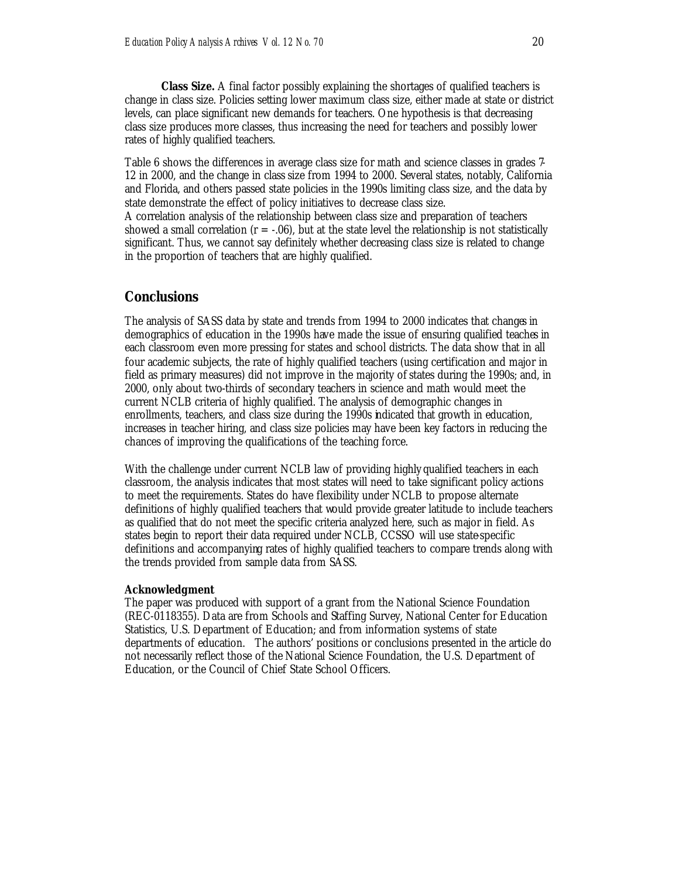**Class Size.** A final factor possibly explaining the shortages of qualified teachers is change in class size. Policies setting lower maximum class size, either made at state or district levels, can place significant new demands for teachers. One hypothesis is that decreasing class size produces more classes, thus increasing the need for teachers and possibly lower rates of highly qualified teachers.

Table 6 shows the differences in average class size for math and science classes in grades 7- 12 in 2000, and the change in class size from 1994 to 2000. Several states, notably, California and Florida, and others passed state policies in the 1990s limiting class size, and the data by state demonstrate the effect of policy initiatives to decrease class size.

A correlation analysis of the relationship between class size and preparation of teachers showed a small correlation ( $r = -0.06$ ), but at the state level the relationship is not statistically significant. Thus, we cannot say definitely whether decreasing class size is related to change in the proportion of teachers that are highly qualified.

#### **Conclusions**

The analysis of SASS data by state and trends from 1994 to 2000 indicates that changes in demographics of education in the 1990s have made the issue of ensuring qualified teaches in each classroom even more pressing for states and school districts. The data show that in all four academic subjects, the rate of highly qualified teachers (using certification and major in field as primary measures) did not improve in the majority of states during the 1990s; and, in 2000, only about two-thirds of secondary teachers in science and math would meet the current NCLB criteria of highly qualified. The analysis of demographic changes in enrollments, teachers, and class size during the 1990s indicated that growth in education, increases in teacher hiring, and class size policies may have been key factors in reducing the chances of improving the qualifications of the teaching force.

With the challenge under current NCLB law of providing highly qualified teachers in each classroom, the analysis indicates that most states will need to take significant policy actions to meet the requirements. States do have flexibility under NCLB to propose alternate definitions of highly qualified teachers that would provide greater latitude to include teachers as qualified that do not meet the specific criteria analyzed here, such as major in field. As states begin to report their data required under NCLB, CCSSO will use state-specific definitions and accompanying rates of highly qualified teachers to compare trends along with the trends provided from sample data from SASS.

#### **Acknowledgment**

The paper was produced with support of a grant from the National Science Foundation (REC-0118355). Data are from Schools and Staffing Survey, National Center for Education Statistics, U.S. Department of Education; and from information systems of state departments of education. The authors' positions or conclusions presented in the article do not necessarily reflect those of the National Science Foundation, the U.S. Department of Education, or the Council of Chief State School Officers.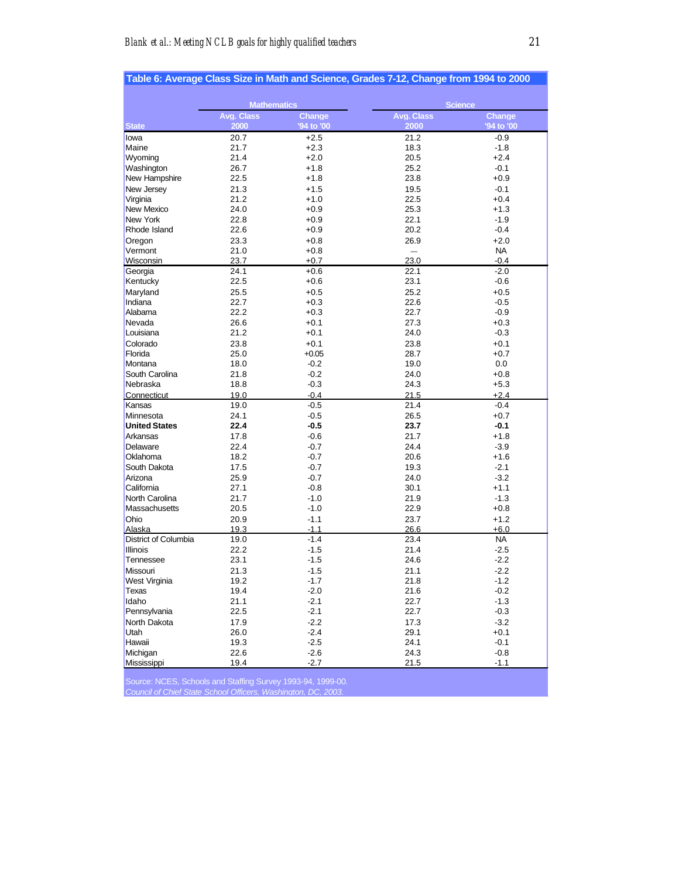|                            |                    |                  | Table 6: Average Class Size in Math and Science, Grades 7-12, Change from 1994 to 2000 |                  |
|----------------------------|--------------------|------------------|----------------------------------------------------------------------------------------|------------------|
|                            | <b>Mathematics</b> |                  | <b>Science</b>                                                                         |                  |
|                            | Avg. Class         | Change           | <b>Avg. Class</b>                                                                      | Change           |
| <b>State</b>               | 2000               | '94 to '00       | 2000                                                                                   | '94 to '00       |
| lowa                       | 20.7               | $+2.5$           | 21.2                                                                                   | $-0.9$           |
| Maine                      | 21.7               | $+2.3$           | 18.3                                                                                   | $-1.8$           |
| Wyoming                    | 21.4               | $+2.0$           | 20.5                                                                                   | $+2.4$           |
| Washington                 | 26.7               | $+1.8$           | 25.2                                                                                   | $-0.1$           |
| New Hampshire              | 22.5               | $+1.8$           | 23.8                                                                                   | $+0.9$           |
| New Jersey                 | 21.3               | $+1.5$           | 19.5                                                                                   | $-0.1$           |
| Virginia                   | 21.2               | $+1.0$           | 22.5                                                                                   | $+0.4$           |
| New Mexico                 | 24.0               | $+0.9$           | 25.3                                                                                   | $+1.3$           |
| New York                   | 22.8               | $+0.9$           | 22.1                                                                                   | $-1.9$           |
| Rhode Island               | 22.6               | $+0.9$           | 20.2                                                                                   | $-0.4$           |
| Oregon                     | 23.3               | $+0.8$           | 26.9                                                                                   | $+2.0$           |
| Vermont                    | 21.0               | $+0.8$           | $\overline{\phantom{m}}$                                                               | <b>NA</b>        |
| Wisconsin                  | 23.7               | $+0.7$           | 23.0                                                                                   | $-0.4$           |
| Georgia                    | 24.1               | $+0.6$           | 22.1                                                                                   | $-2.0$           |
| Kentucky                   | 22.5               | $+0.6$           | 23.1                                                                                   | $-0.6$           |
| Maryland                   | 25.5               | $+0.5$           | 25.2                                                                                   | $+0.5$           |
| Indiana                    | 22.7               | $+0.3$           | 22.6                                                                                   | $-0.5$           |
| Alabama                    | 22.2               | $+0.3$           | 22.7                                                                                   | $-0.9$           |
| Nevada                     | 26.6               | $+0.1$           | 27.3                                                                                   | $+0.3$           |
| Louisiana                  | 21.2               | $+0.1$           | 24.0                                                                                   | $-0.3$           |
| Colorado                   | 23.8               | $+0.1$           | 23.8                                                                                   | $+0.1$           |
| Florida                    | 25.0               | $+0.05$          | 28.7                                                                                   | $+0.7$           |
| Montana                    | 18.0               | $-0.2$           | 19.0                                                                                   | 0.0              |
| South Carolina<br>Nebraska | 21.8<br>18.8       | $-0.2$<br>$-0.3$ | 24.0<br>24.3                                                                           | $+0.8$<br>$+5.3$ |
| Connecticut                | 19.0               | $-0.4$           | 21.5                                                                                   | +2.4             |
| Kansas                     | 19.0               | $-0.5$           | 21.4                                                                                   | $-0.4$           |
| Minnesota                  | 24.1               | $-0.5$           | 26.5                                                                                   | $+0.7$           |
| <b>United States</b>       | 22.4               | $-0.5$           | 23.7                                                                                   | $-0.1$           |
| Arkansas                   | 17.8               | $-0.6$           | 21.7                                                                                   | $+1.8$           |
| Delaware                   | 22.4               | $-0.7$           | 24.4                                                                                   | $-3.9$           |
| Oklahoma                   | 18.2               | $-0.7$           | 20.6                                                                                   | $+1.6$           |
| South Dakota               | 17.5               | $-0.7$           | 19.3                                                                                   | $-2.1$           |
| Arizona                    | 25.9               | $-0.7$           | 24.0                                                                                   | $-3.2$           |
| California                 | 27.1               | $-0.8$           | 30.1                                                                                   | $+1.1$           |
| North Carolina             | 21.7               | $-1.0$           | 21.9                                                                                   | $-1.3$           |
| Massachusetts              | 20.5               | $-1.0$           | 22.9                                                                                   | $+0.8$           |
| Ohio                       | 20.9               | $-1.1$           | 23.7                                                                                   | $+1.2$           |
| Alaska                     | 19.3               | $-1.1$           | 26.6                                                                                   | +6.0             |
| District of Columbia       | 19.0               | $-1.4$           | 23.4                                                                                   | <b>NA</b>        |
| <b>Illinois</b>            | 22.2               | $-1.5$           | 21.4                                                                                   | $-2.5$           |
| Tennessee                  | 23.1               | $-1.5$           | 24.6                                                                                   | $-2.2$           |
| Missouri                   | 21.3               | $-1.5$           | 21.1                                                                                   | $-2.2$           |
| West Virginia              | 19.2               | $-1.7$           | 21.8                                                                                   | $-1.2$           |
| Texas                      | 19.4               | $-2.0$           | 21.6                                                                                   | $-0.2$           |
| Idaho                      | 21.1               | $-2.1$           | 22.7                                                                                   | $-1.3$           |
| Pennsylvania               | 22.5               | $-2.1$           | 22.7                                                                                   | $-0.3$           |
| North Dakota               | 17.9               | $-2.2$           | 17.3                                                                                   | $-3.2$           |
| Utah                       | 26.0               | $-2.4$           | 29.1                                                                                   | +0.1             |
| Hawaii                     | 19.3               | $-2.5$           | 24.1                                                                                   | $-0.1$           |
| Michigan                   | 22.6               | $-2.6$           | 24.3                                                                                   | $-0.8$           |
| Mississippi                | 19.4               | $-2.7$           | 21.5                                                                                   | $-1.1$           |

Source: NCES, Schools and Staffing Survey 1993-94, 1999-00. *Council of Chief State School Officers, Washington, DC, 2003.*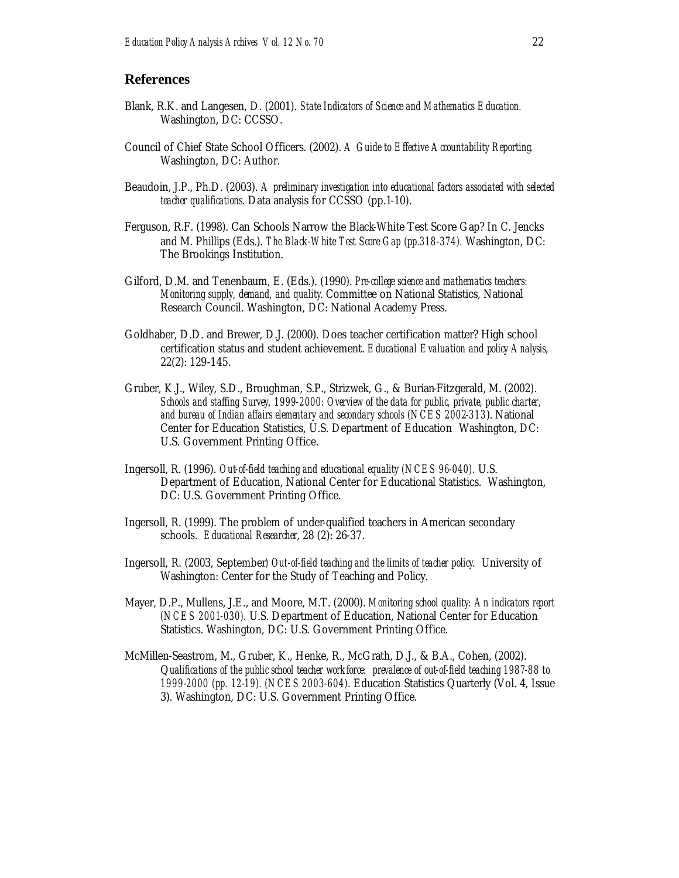#### **References**

- Blank, R.K. and Langesen, D. (2001). *State Indicators of Science and Mathematics Education.* Washington, DC: CCSSO.
- Council of Chief State School Officers. (2002). *A Guide to Effective Accountability Reporting*. Washington, DC: Author.
- Beaudoin, J.P., Ph.D. (2003). *A preliminary investigation into educational factors associated with selected teacher qualifications*. Data analysis for CCSSO (pp.1-10).
- Ferguson, R.F. (1998). Can Schools Narrow the Black-White Test Score Gap? In C. Jencks and M. Phillips (Eds.). *The Black-White Test Score Gap (pp.318-374).* Washington, DC: The Brookings Institution.
- Gilford, D.M. and Tenenbaum, E. (Eds.). (1990). *Pre-college science and mathematics teachers: Monitoring supply, demand, and quality*. Committee on National Statistics, National Research Council. Washington, DC: National Academy Press.
- Goldhaber, D.D. and Brewer, D.J. (2000). Does teacher certification matter? High school certification status and student achievement. *Educational Evaluation and policy Analysis*, 22(2): 129-145.
- Gruber, K.J., Wiley, S.D., Broughman, S.P., Strizwek, G., & Burian-Fitzgerald, M. (2002). *Schools and staffing Survey, 1999-2000: Overview of the data for public, private, public charter, and bureau of Indian affairs elementary and secondary schools (NCES 2002-313*). National Center for Education Statistics, U.S. Department of Education*.* Washington, DC: U.S. Government Printing Office.
- Ingersoll, R. (1996). *Out-of-field teaching and educational equality (NCES 96-040).* U.S. Department of Education, National Center for Educational Statistics. Washington, DC: U.S. Government Printing Office.
- Ingersoll, R. (1999). The problem of under-qualified teachers in American secondary schools. *Educational Researcher*, 28 (2): 26-37.
- Ingersoll, R. (2003, September*) Out-of-field teaching and the limits of teacher policy*. University of Washington: Center for the Study of Teaching and Policy.
- Mayer, D.P., Mullens, J.E., and Moore, M.T. (2000). *Monitoring school quality: An indicators report (NCES 2001-030).* U.S. Department of Education, National Center for Education Statistics. Washington, DC: U.S. Government Printing Office.
- McMillen-Seastrom, M., Gruber, K., Henke, R., McGrath, D.J., & B.A., Cohen, (2002). Q*ualifications of the public school teacher workforce: prevalence of out-of-field teaching 1987-88 to 1999-2000 (pp. 12-19). (NCES 2003-604)*. Education Statistics Quarterly (Vol. 4, Issue 3). Washington, DC: U.S. Government Printing Office.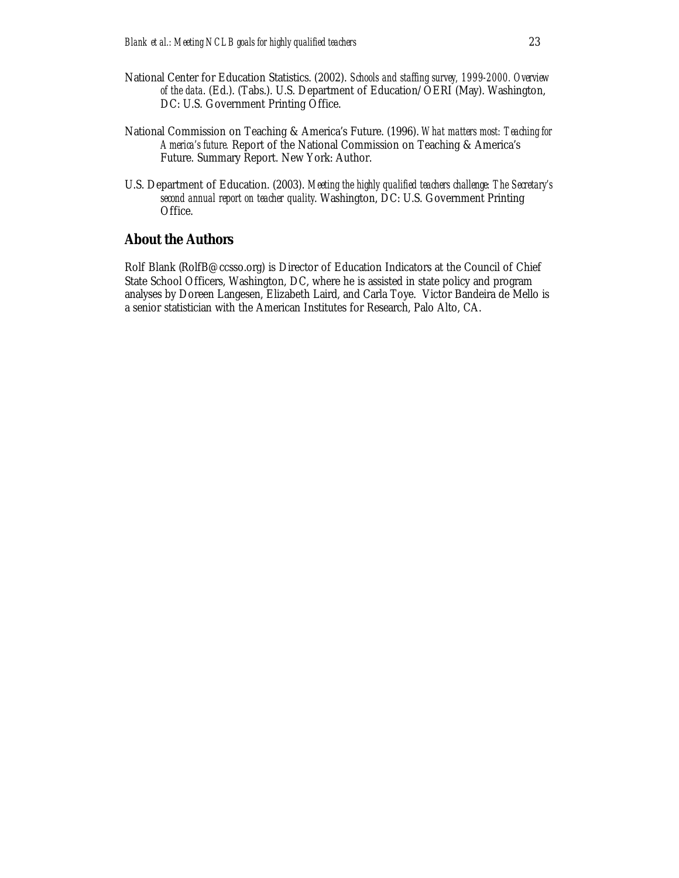- National Center for Education Statistics. (2002). *Schools and staffing survey, 1999-2000. Overview of the data*. (Ed.). (Tabs.). U.S. Department of Education/OERI (May). Washington, DC: U.S. Government Printing Office.
- National Commission on Teaching & America's Future. (1996). *What matters most: Teaching for America's future.* Report of the National Commission on Teaching & America's Future. Summary Report. New York: Author.
- U.S. Department of Education. (2003). *Meeting the highly qualified teachers challenge: The Secretary's second annual report on teacher quality*. Washington, DC: U.S. Government Printing Office.

## **About the Authors**

Rolf Blank (RolfB@ccsso.org) is Director of Education Indicators at the Council of Chief State School Officers, Washington, DC, where he is assisted in state policy and program analyses by Doreen Langesen, Elizabeth Laird, and Carla Toye. Victor Bandeira de Mello is a senior statistician with the American Institutes for Research, Palo Alto, CA.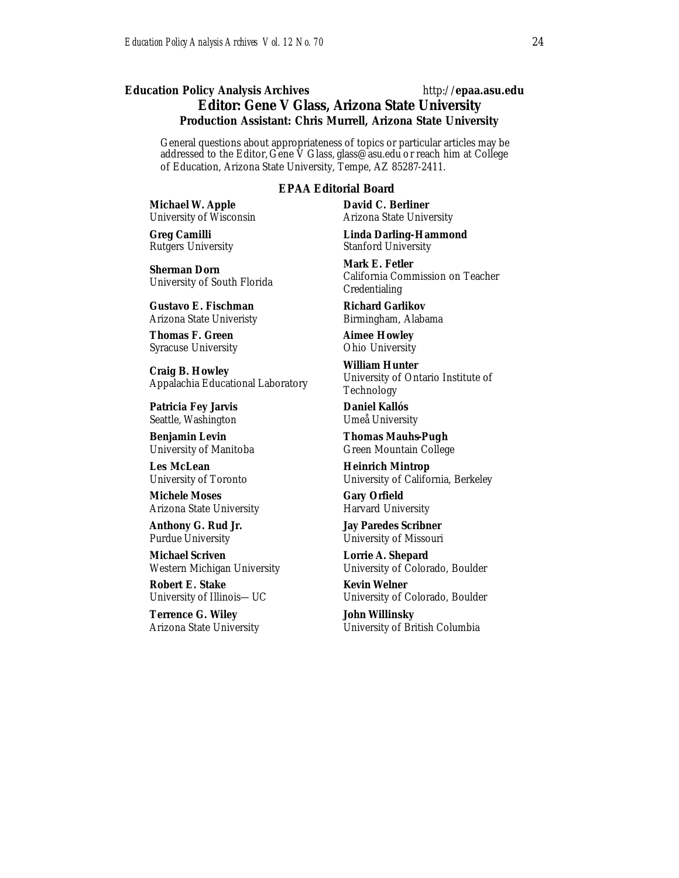#### *Education Policy Analysis Archives* http://**epaa.asu.edu Editor: Gene V Glass, Arizona State University Production Assistant: Chris Murrell, Arizona State University**

General questions about appropriateness of topics or particular articles may be addressed to the Editor, Gene V Glass, glass@asu.edu or reach him at College of Education, Arizona State University, Tempe, AZ 85287-2411.

#### *EPAA* **Editorial Board**

**Michael W. Apple** University of Wisconsin

**Greg Camilli** Rutgers University

**Sherman Dorn** University of South Florida

**Gustavo E. Fischman** Arizona State Univeristy

**Thomas F. Green** Syracuse University

**Craig B. Howley** Appalachia Educational Laboratory

**Patricia Fey Jarvis**  Seattle, Washington

**Benjamin Levin** University of Manitoba

**Les McLean** University of Toronto

**Michele Moses** Arizona State University

**Anthony G. Rud Jr.** Purdue University

**Michael Scriven** Western Michigan University

**Robert E. Stake**  University of Illinois—UC

**Terrence G. Wiley** Arizona State University **David C. Berliner**  Arizona State University

**Linda Darling-Hammond**  Stanford University

**Mark E. Fetler** California Commission on Teacher Credentialing

**Richard Garlikov** Birmingham, Alabama

**Aimee Howley** Ohio University

**William Hunter** University of Ontario Institute of Technology

**Daniel Kallós** Umeå University

**Thomas Mauhs-Pugh** Green Mountain College

**Heinrich Mintrop**  University of California, Berkeley

**Gary Orfield** Harvard University

**Jay Paredes Scribner** University of Missouri

**Lorrie A. Shepard** University of Colorado, Boulder

**Kevin Welner** University of Colorado, Boulder

**John Willinsky** University of British Columbia